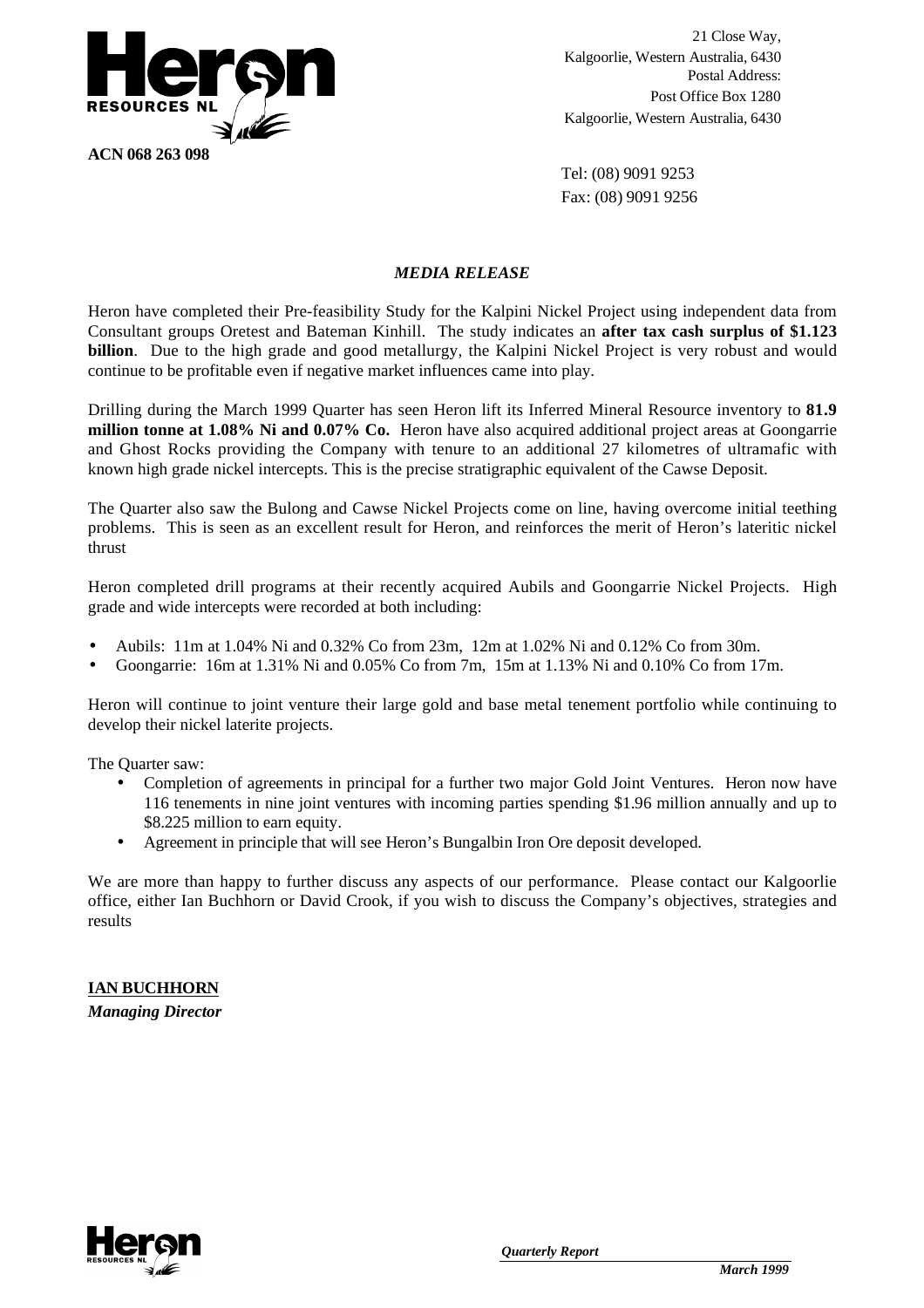

21 Close Way, Kalgoorlie, Western Australia, 6430 Postal Address: Post Office Box 1280 Kalgoorlie, Western Australia, 6430

Tel: (08) 9091 9253 Fax: (08) 9091 9256

# *MEDIA RELEASE*

Heron have completed their Pre-feasibility Study for the Kalpini Nickel Project using independent data from Consultant groups Oretest and Bateman Kinhill. The study indicates an **after tax cash surplus of \$1.123 billion**. Due to the high grade and good metallurgy, the Kalpini Nickel Project is very robust and would continue to be profitable even if negative market influences came into play.

Drilling during the March 1999 Quarter has seen Heron lift its Inferred Mineral Resource inventory to **81.9 million tonne at 1.08% Ni and 0.07% Co.** Heron have also acquired additional project areas at Goongarrie and Ghost Rocks providing the Company with tenure to an additional 27 kilometres of ultramafic with known high grade nickel intercepts. This is the precise stratigraphic equivalent of the Cawse Deposit.

The Quarter also saw the Bulong and Cawse Nickel Projects come on line, having overcome initial teething problems. This is seen as an excellent result for Heron, and reinforces the merit of Heron's lateritic nickel thrust

Heron completed drill programs at their recently acquired Aubils and Goongarrie Nickel Projects. High grade and wide intercepts were recorded at both including:

- Aubils: 11m at 1.04% Ni and 0.32% Co from 23m, 12m at 1.02% Ni and 0.12% Co from 30m.
- Goongarrie: 16m at 1.31% Ni and 0.05% Co from 7m, 15m at 1.13% Ni and 0.10% Co from 17m.

Heron will continue to joint venture their large gold and base metal tenement portfolio while continuing to develop their nickel laterite projects.

The Quarter saw:

- Completion of agreements in principal for a further two major Gold Joint Ventures. Heron now have 116 tenements in nine joint ventures with incoming parties spending \$1.96 million annually and up to \$8.225 million to earn equity.
- Agreement in principle that will see Heron's Bungalbin Iron Ore deposit developed.

We are more than happy to further discuss any aspects of our performance. Please contact our Kalgoorlie office, either Ian Buchhorn or David Crook, if you wish to discuss the Company's objectives, strategies and results

# **IAN BUCHHORN**

*Managing Director*

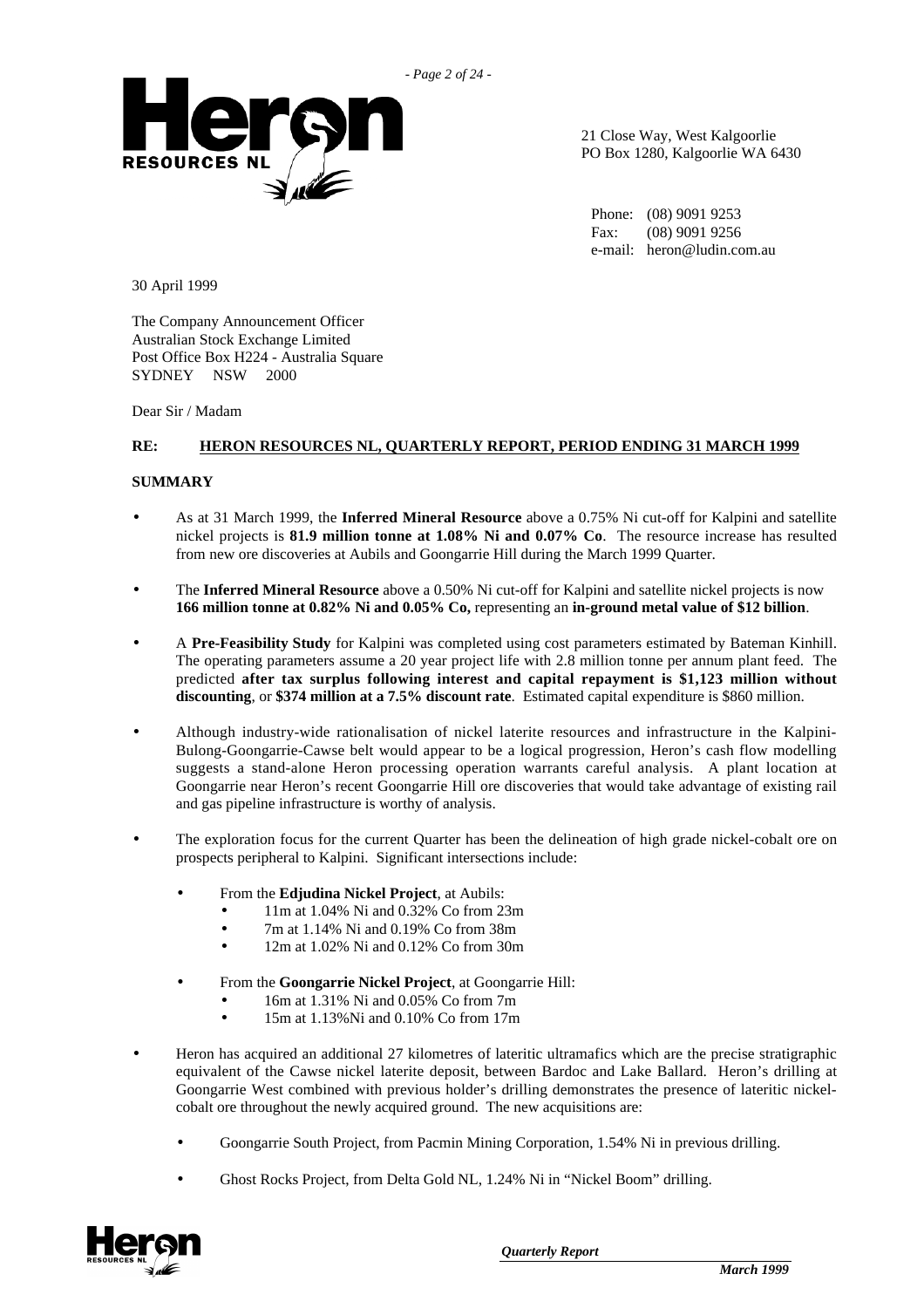

21 Close Way, West Kalgoorlie PO Box 1280, Kalgoorlie WA 6430

Phone: (08) 9091 9253 Fax: (08) 9091 9256 e-mail: heron@ludin.com.au

30 April 1999

The Company Announcement Officer Australian Stock Exchange Limited Post Office Box H224 - Australia Square SYDNEY NSW 2000

Dear Sir / Madam

#### **RE: HERON RESOURCES NL, QUARTERLY REPORT, PERIOD ENDING 31 MARCH 1999**

#### **SUMMARY**

- As at 31 March 1999, the **Inferred Mineral Resource** above a 0.75% Ni cut-off for Kalpini and satellite nickel projects is **81.9 million tonne at 1.08% Ni and 0.07% Co**. The resource increase has resulted from new ore discoveries at Aubils and Goongarrie Hill during the March 1999 Quarter.
- The **Inferred Mineral Resource** above a 0.50% Ni cut-off for Kalpini and satellite nickel projects is now **166 million tonne at 0.82% Ni and 0.05% Co,** representing an **in-ground metal value of \$12 billion**.
- A **Pre-Feasibility Study** for Kalpini was completed using cost parameters estimated by Bateman Kinhill. The operating parameters assume a 20 year project life with 2.8 million tonne per annum plant feed. The predicted **after tax surplus following interest and capital repayment is \$1,123 million without discounting**, or **\$374 million at a 7.5% discount rate**. Estimated capital expenditure is \$860 million.
- Although industry-wide rationalisation of nickel laterite resources and infrastructure in the Kalpini-Bulong-Goongarrie-Cawse belt would appear to be a logical progression, Heron's cash flow modelling suggests a stand-alone Heron processing operation warrants careful analysis. A plant location at Goongarrie near Heron's recent Goongarrie Hill ore discoveries that would take advantage of existing rail and gas pipeline infrastructure is worthy of analysis.
- The exploration focus for the current Quarter has been the delineation of high grade nickel-cobalt ore on prospects peripheral to Kalpini. Significant intersections include:
	- From the **Edjudina Nickel Project**, at Aubils:
		- 11m at 1.04% Ni and 0.32% Co from 23m
		- 7m at 1.14% Ni and 0.19% Co from 38m
		- 12m at 1.02% Ni and 0.12% Co from 30m
	- From the **Goongarrie Nickel Project**, at Goongarrie Hill:
		- 16m at 1.31% Ni and 0.05% Co from 7m
			- 15m at 1.13%Ni and 0.10% Co from 17m
- Heron has acquired an additional 27 kilometres of lateritic ultramafics which are the precise stratigraphic equivalent of the Cawse nickel laterite deposit, between Bardoc and Lake Ballard. Heron's drilling at Goongarrie West combined with previous holder's drilling demonstrates the presence of lateritic nickelcobalt ore throughout the newly acquired ground. The new acquisitions are:
	- Goongarrie South Project, from Pacmin Mining Corporation, 1.54% Ni in previous drilling.
	- Ghost Rocks Project, from Delta Gold NL, 1.24% Ni in "Nickel Boom" drilling.

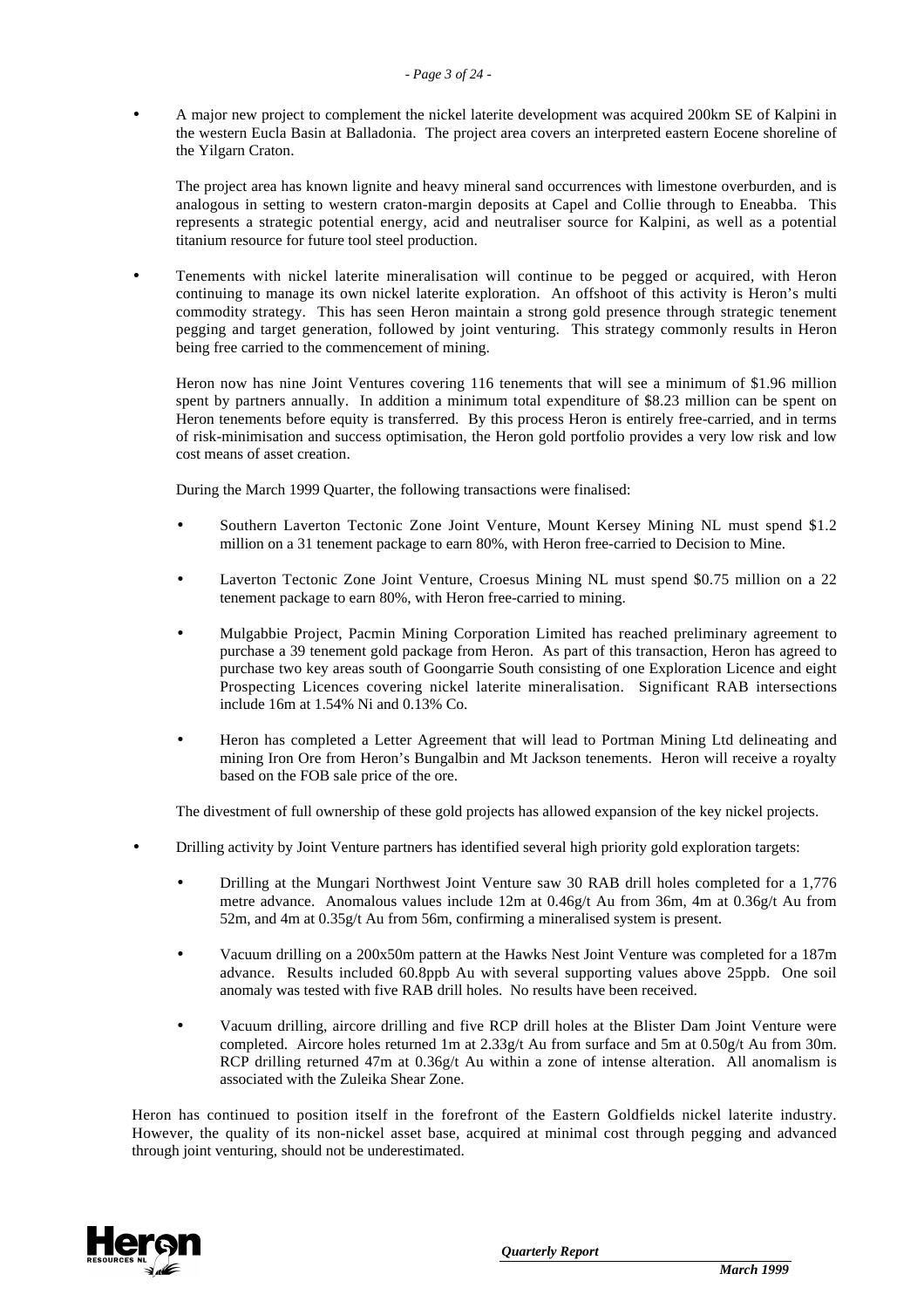• A major new project to complement the nickel laterite development was acquired 200km SE of Kalpini in the western Eucla Basin at Balladonia. The project area covers an interpreted eastern Eocene shoreline of the Yilgarn Craton.

The project area has known lignite and heavy mineral sand occurrences with limestone overburden, and is analogous in setting to western craton-margin deposits at Capel and Collie through to Eneabba. This represents a strategic potential energy, acid and neutraliser source for Kalpini, as well as a potential titanium resource for future tool steel production.

• Tenements with nickel laterite mineralisation will continue to be pegged or acquired, with Heron continuing to manage its own nickel laterite exploration. An offshoot of this activity is Heron's multi commodity strategy. This has seen Heron maintain a strong gold presence through strategic tenement pegging and target generation, followed by joint venturing. This strategy commonly results in Heron being free carried to the commencement of mining.

Heron now has nine Joint Ventures covering 116 tenements that will see a minimum of \$1.96 million spent by partners annually. In addition a minimum total expenditure of \$8.23 million can be spent on Heron tenements before equity is transferred. By this process Heron is entirely free-carried, and in terms of risk-minimisation and success optimisation, the Heron gold portfolio provides a very low risk and low cost means of asset creation.

During the March 1999 Quarter, the following transactions were finalised:

- Southern Laverton Tectonic Zone Joint Venture, Mount Kersey Mining NL must spend \$1.2 million on a 31 tenement package to earn 80%, with Heron free-carried to Decision to Mine.
- Laverton Tectonic Zone Joint Venture, Croesus Mining NL must spend \$0.75 million on a 22 tenement package to earn 80%, with Heron free-carried to mining.
- Mulgabbie Project, Pacmin Mining Corporation Limited has reached preliminary agreement to purchase a 39 tenement gold package from Heron. As part of this transaction, Heron has agreed to purchase two key areas south of Goongarrie South consisting of one Exploration Licence and eight Prospecting Licences covering nickel laterite mineralisation. Significant RAB intersections include 16m at 1.54% Ni and 0.13% Co.
- Heron has completed a Letter Agreement that will lead to Portman Mining Ltd delineating and mining Iron Ore from Heron's Bungalbin and Mt Jackson tenements. Heron will receive a royalty based on the FOB sale price of the ore.

The divestment of full ownership of these gold projects has allowed expansion of the key nickel projects.

- Drilling activity by Joint Venture partners has identified several high priority gold exploration targets:
	- Drilling at the Mungari Northwest Joint Venture saw 30 RAB drill holes completed for a 1,776 metre advance. Anomalous values include 12m at 0.46g/t Au from 36m, 4m at 0.36g/t Au from 52m, and 4m at 0.35g/t Au from 56m, confirming a mineralised system is present.
	- Vacuum drilling on a 200x50m pattern at the Hawks Nest Joint Venture was completed for a 187m advance. Results included 60.8ppb Au with several supporting values above 25ppb. One soil anomaly was tested with five RAB drill holes. No results have been received.
	- Vacuum drilling, aircore drilling and five RCP drill holes at the Blister Dam Joint Venture were completed. Aircore holes returned 1m at 2.33g/t Au from surface and 5m at 0.50g/t Au from 30m. RCP drilling returned 47m at 0.36g/t Au within a zone of intense alteration. All anomalism is associated with the Zuleika Shear Zone.

Heron has continued to position itself in the forefront of the Eastern Goldfields nickel laterite industry. However, the quality of its non-nickel asset base, acquired at minimal cost through pegging and advanced through joint venturing, should not be underestimated.

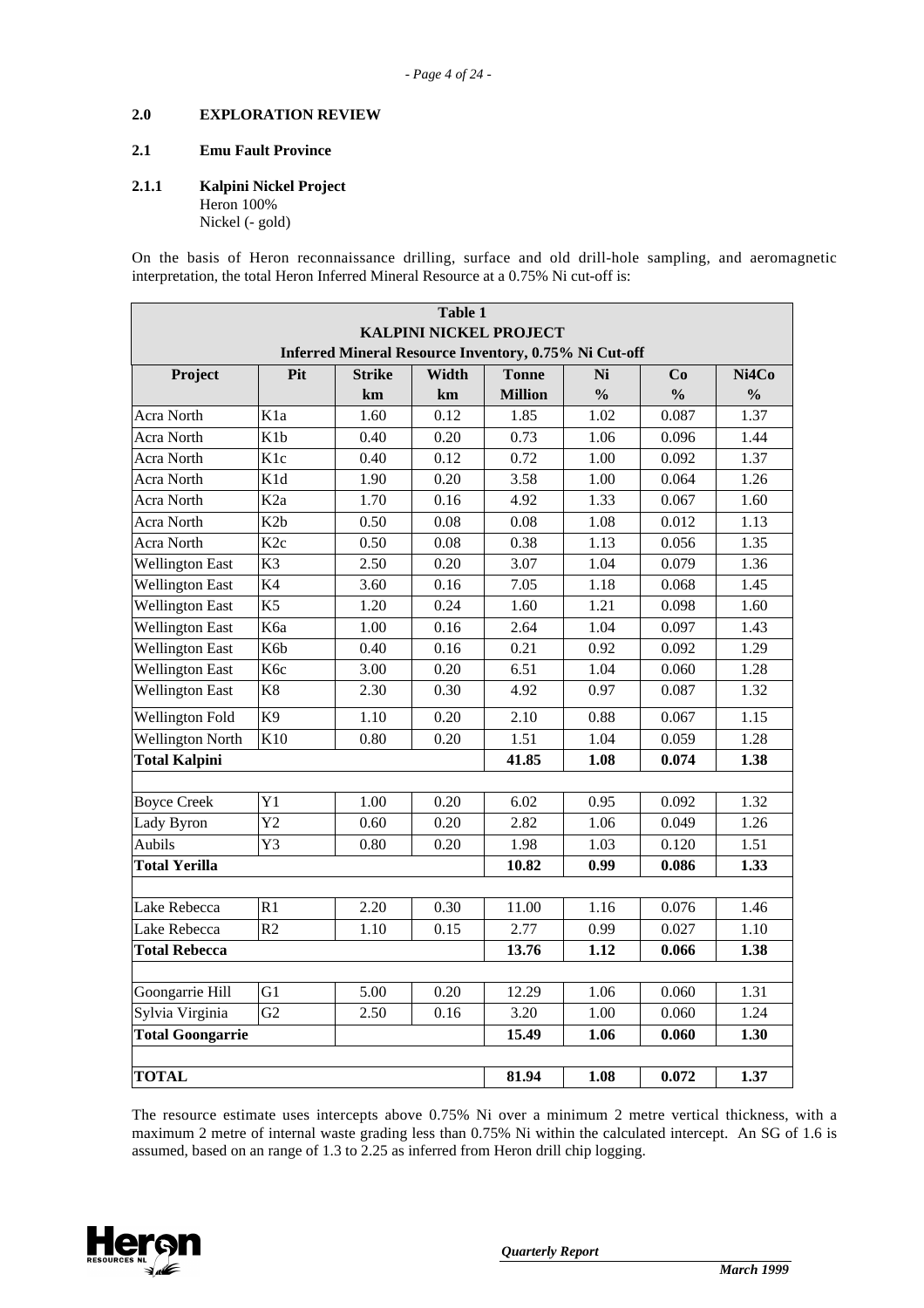### **2.0 EXPLORATION REVIEW**

#### **2.1 Emu Fault Province**

#### **2.1.1 Kalpini Nickel Project**

Heron 100% Nickel (- gold)

On the basis of Heron reconnaissance drilling, surface and old drill-hole sampling, and aeromagnetic interpretation, the total Heron Inferred Mineral Resource at a 0.75% Ni cut-off is:

| <b>Table 1</b>                                        |                  |                   |       |                               |               |               |               |  |
|-------------------------------------------------------|------------------|-------------------|-------|-------------------------------|---------------|---------------|---------------|--|
|                                                       |                  |                   |       | <b>KALPINI NICKEL PROJECT</b> |               |               |               |  |
| Inferred Mineral Resource Inventory, 0.75% Ni Cut-off |                  |                   |       |                               |               |               |               |  |
| Project                                               | Pit              | <b>Strike</b>     | Width | <b>Tonne</b>                  | Ni            | Co            | Ni4Co         |  |
|                                                       |                  | km                | km    | <b>Million</b>                | $\frac{0}{0}$ | $\frac{0}{0}$ | $\frac{0}{0}$ |  |
| Acra North                                            | K <sub>1</sub> a | 1.60              | 0.12  | 1.85                          | 1.02          | 0.087         | 1.37          |  |
| Acra North                                            | K <sub>1</sub> b | 0.40              | 0.20  | 0.73                          | 1.06          | 0.096         | 1.44          |  |
| Acra North                                            | K <sub>1c</sub>  | 0.40              | 0.12  | 0.72                          | 1.00          | 0.092         | 1.37          |  |
| Acra North                                            | K1d              | 1.90              | 0.20  | 3.58                          | 1.00          | 0.064         | 1.26          |  |
| Acra North                                            | K <sub>2a</sub>  | 1.70              | 0.16  | 4.92                          | 1.33          | 0.067         | 1.60          |  |
| Acra North                                            | K <sub>2</sub> b | 0.50              | 0.08  | 0.08                          | 1.08          | 0.012         | 1.13          |  |
| Acra North                                            | K <sub>2c</sub>  | 0.50              | 0.08  | 0.38                          | 1.13          | 0.056         | 1.35          |  |
| <b>Wellington East</b>                                | $\overline{K3}$  | 2.50              | 0.20  | 3.07                          | 1.04          | 0.079         | 1.36          |  |
| <b>Wellington East</b>                                | K4               | 3.60              | 0.16  | 7.05                          | 1.18          | 0.068         | 1.45          |  |
| <b>Wellington East</b>                                | K <sub>5</sub>   | 1.20              | 0.24  | 1.60                          | 1.21          | 0.098         | 1.60          |  |
| <b>Wellington East</b>                                | K6a              | 1.00              | 0.16  | 2.64                          | 1.04          | 0.097         | 1.43          |  |
| <b>Wellington East</b>                                | K6b              | 0.40              | 0.16  | 0.21                          | 0.92          | 0.092         | 1.29          |  |
| <b>Wellington East</b>                                | K <sub>6c</sub>  | 3.00              | 0.20  | 6.51                          | 1.04          | 0.060         | 1.28          |  |
| <b>Wellington East</b>                                | K8               | 2.30              | 0.30  | 4.92                          | 0.97          | 0.087         | 1.32          |  |
| <b>Wellington Fold</b>                                | K <sub>9</sub>   | 1.10              | 0.20  | 2.10                          | 0.88          | 0.067         | 1.15          |  |
| <b>Wellington North</b>                               | $\overline{K10}$ | 0.80              | 0.20  | 1.51                          | 1.04          | 0.059         | 1.28          |  |
| <b>Total Kalpini</b>                                  |                  |                   |       | 41.85                         | 1.08          | 0.074         | 1.38          |  |
|                                                       |                  |                   |       |                               |               |               |               |  |
| <b>Boyce Creek</b>                                    | $\overline{Y}1$  | 1.00              | 0.20  | 6.02                          | 0.95          | 0.092         | 1.32          |  |
| Lady Byron                                            | $\overline{Y2}$  | 0.60              | 0.20  | 2.82                          | 1.06          | 0.049         | 1.26          |  |
| Aubils                                                | Y3               | 0.80              | 0.20  | 1.98                          | 1.03          | 0.120         | 1.51          |  |
| <b>Total Yerilla</b>                                  |                  |                   |       | 10.82                         | 0.99          | 0.086         | 1.33          |  |
| Lake Rebecca                                          | R1               | $\overline{2.20}$ | 0.30  | 11.00                         | 1.16          | 0.076         | 1.46          |  |
| Lake Rebecca                                          | R <sub>2</sub>   | 1.10              | 0.15  | 2.77                          | 0.99          | 0.027         | 1.10          |  |
| <b>Total Rebecca</b>                                  |                  |                   |       | 13.76                         | 1.12          | 0.066         | 1.38          |  |
|                                                       |                  |                   |       |                               |               |               |               |  |
| Goongarrie Hill                                       | G1               | 5.00              | 0.20  | 12.29                         | 1.06          | 0.060         | 1.31          |  |
| Sylvia Virginia                                       | G <sub>2</sub>   | 2.50              | 0.16  | 3.20                          | 1.00          | 0.060         | 1.24          |  |
| <b>Total Goongarrie</b>                               |                  |                   |       | 15.49                         | 1.06          | 0.060         | 1.30          |  |
|                                                       |                  |                   |       |                               |               |               |               |  |
| <b>TOTAL</b>                                          |                  |                   |       | 81.94                         | 1.08          | 0.072         | 1.37          |  |

The resource estimate uses intercepts above 0.75% Ni over a minimum 2 metre vertical thickness, with a maximum 2 metre of internal waste grading less than 0.75% Ni within the calculated intercept. An SG of 1.6 is assumed, based on an range of 1.3 to 2.25 as inferred from Heron drill chip logging.

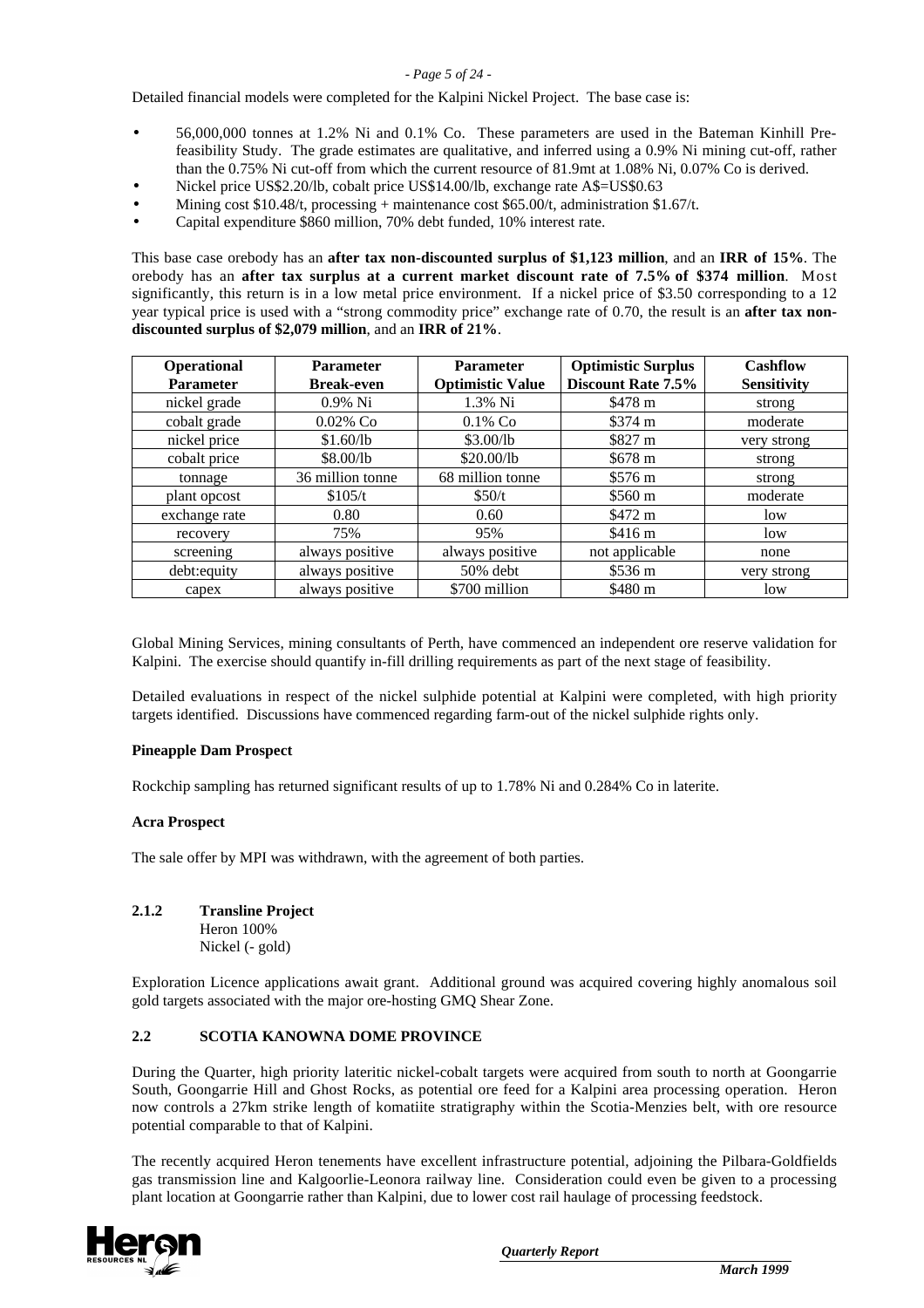#### *- Page 5 of 24 -*

Detailed financial models were completed for the Kalpini Nickel Project. The base case is:

- 56,000,000 tonnes at 1.2% Ni and 0.1% Co. These parameters are used in the Bateman Kinhill Prefeasibility Study. The grade estimates are qualitative, and inferred using a 0.9% Ni mining cut-off, rather than the 0.75% Ni cut-off from which the current resource of 81.9mt at 1.08% Ni, 0.07% Co is derived.
- Nickel price US\$2.20/lb, cobalt price US\$14.00/lb, exchange rate A\$=US\$0.63
- Mining cost  $$10.48/t$ , processing + maintenance cost  $$65.00/t$ , administration  $$1.67/t$ .
- Capital expenditure \$860 million, 70% debt funded, 10% interest rate.

This base case orebody has an **after tax non-discounted surplus of \$1,123 million**, and an **IRR of 15%**. The orebody has an **after tax surplus at a current market discount rate of 7.5% of \$374 million**. Most significantly, this return is in a low metal price environment. If a nickel price of \$3.50 corresponding to a 12 year typical price is used with a "strong commodity price" exchange rate of 0.70, the result is an **after tax nondiscounted surplus of \$2,079 million**, and an **IRR of 21%**.

| Operational      | <b>Parameter</b>  | <b>Parameter</b>        | <b>Optimistic Surplus</b> | Cashflow           |
|------------------|-------------------|-------------------------|---------------------------|--------------------|
| <b>Parameter</b> | <b>Break-even</b> | <b>Optimistic Value</b> | Discount Rate 7.5%        | <b>Sensitivity</b> |
| nickel grade     | $0.9\%$ Ni        | 1.3% Ni                 | \$478 m                   | strong             |
| cobalt grade     | $0.02\%$ Co       | $0.1\%$ Co              | \$374 m                   | moderate           |
| nickel price     | \$1.60/lb         | \$3.00/lb               | \$827 m                   | very strong        |
| cobalt price     | \$8.00/lb         | \$20.00/lb              | \$678 m                   | strong             |
| tonnage          | 36 million tonne  | 68 million tonne        | \$576 m                   | strong             |
| plant opcost     | \$105/t           | \$50/t                  | \$560 <sub>m</sub>        | moderate           |
| exchange rate    | 0.80              | 0.60                    | \$472 m                   | low                |
| recovery         | 75%               | 95%                     | \$416 m                   | low                |
| screening        | always positive   | always positive         | not applicable            | none               |
| debt:equity      | always positive   | 50% debt                | \$536 m                   | very strong        |
| capex            | always positive   | \$700 million           | \$480 m                   | low                |

Global Mining Services, mining consultants of Perth, have commenced an independent ore reserve validation for Kalpini. The exercise should quantify in-fill drilling requirements as part of the next stage of feasibility.

Detailed evaluations in respect of the nickel sulphide potential at Kalpini were completed, with high priority targets identified. Discussions have commenced regarding farm-out of the nickel sulphide rights only.

#### **Pineapple Dam Prospect**

Rockchip sampling has returned significant results of up to 1.78% Ni and 0.284% Co in laterite.

#### **Acra Prospect**

The sale offer by MPI was withdrawn, with the agreement of both parties.

#### **2.1.2 Transline Project**

Heron 100% Nickel (- gold)

Exploration Licence applications await grant. Additional ground was acquired covering highly anomalous soil gold targets associated with the major ore-hosting GMQ Shear Zone.

#### **2.2 SCOTIA KANOWNA DOME PROVINCE**

During the Quarter, high priority lateritic nickel-cobalt targets were acquired from south to north at Goongarrie South, Goongarrie Hill and Ghost Rocks, as potential ore feed for a Kalpini area processing operation. Heron now controls a 27km strike length of komatiite stratigraphy within the Scotia-Menzies belt, with ore resource potential comparable to that of Kalpini.

The recently acquired Heron tenements have excellent infrastructure potential, adjoining the Pilbara-Goldfields gas transmission line and Kalgoorlie-Leonora railway line. Consideration could even be given to a processing plant location at Goongarrie rather than Kalpini, due to lower cost rail haulage of processing feedstock.

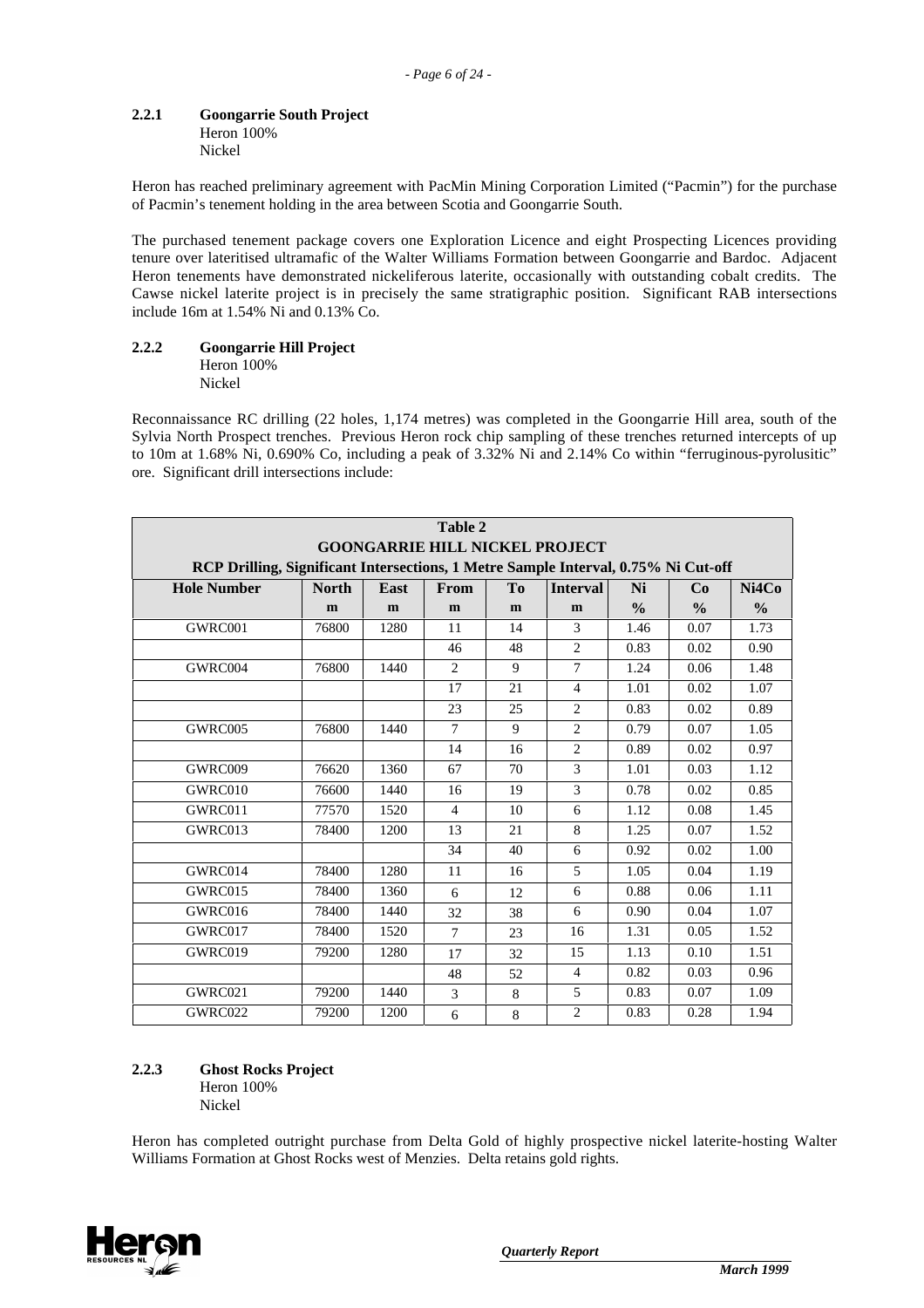# **2.2.1 Goongarrie South Project**

Heron 100% Nickel

Heron has reached preliminary agreement with PacMin Mining Corporation Limited ("Pacmin") for the purchase of Pacmin's tenement holding in the area between Scotia and Goongarrie South.

The purchased tenement package covers one Exploration Licence and eight Prospecting Licences providing tenure over lateritised ultramafic of the Walter Williams Formation between Goongarrie and Bardoc. Adjacent Heron tenements have demonstrated nickeliferous laterite, occasionally with outstanding cobalt credits. The Cawse nickel laterite project is in precisely the same stratigraphic position. Significant RAB intersections include 16m at 1.54% Ni and 0.13% Co.

#### **2.2.2 Goongarrie Hill Project** Heron 100% Nickel

Reconnaissance RC drilling (22 holes, 1,174 metres) was completed in the Goongarrie Hill area, south of the Sylvia North Prospect trenches. Previous Heron rock chip sampling of these trenches returned intercepts of up to 10m at 1.68% Ni, 0.690% Co, including a peak of 3.32% Ni and 2.14% Co within "ferruginous-pyrolusitic" ore. Significant drill intersections include:

|                    | Table 2<br><b>GOONGARRIE HILL NICKEL PROJECT</b>                                                                                                                                     |      |                |    |                |               |               |               |
|--------------------|--------------------------------------------------------------------------------------------------------------------------------------------------------------------------------------|------|----------------|----|----------------|---------------|---------------|---------------|
|                    |                                                                                                                                                                                      |      |                |    |                |               |               |               |
| <b>Hole Number</b> | RCP Drilling, Significant Intersections, 1 Metre Sample Interval, 0.75% Ni Cut-off<br>East<br>T <sub>0</sub><br>Ni<br>Ni4Co<br><b>North</b><br><b>From</b><br><b>Interval</b><br>Co. |      |                |    |                |               |               |               |
|                    | m                                                                                                                                                                                    | m    | m              | m  | m              | $\frac{0}{0}$ | $\frac{0}{0}$ | $\frac{0}{0}$ |
| GWRC001            | 76800                                                                                                                                                                                | 1280 | 11             | 14 | 3              | 1.46          | 0.07          | 1.73          |
|                    |                                                                                                                                                                                      |      | 46             | 48 | $\overline{2}$ | 0.83          | 0.02          | 0.90          |
| GWRC004            | 76800                                                                                                                                                                                | 1440 | 2              | 9  | $\overline{7}$ | 1.24          | 0.06          | 1.48          |
|                    |                                                                                                                                                                                      |      | 17             | 21 | $\overline{4}$ | 1.01          | 0.02          | 1.07          |
|                    |                                                                                                                                                                                      |      | 23             | 25 | $\overline{2}$ | 0.83          | 0.02          | 0.89          |
| GWRC005            | 76800                                                                                                                                                                                | 1440 | $\tau$         | 9  | $\overline{2}$ | 0.79          | 0.07          | 1.05          |
|                    |                                                                                                                                                                                      |      | 14             | 16 | 2              | 0.89          | 0.02          | 0.97          |
| GWRC009            | 76620                                                                                                                                                                                | 1360 | 67             | 70 | 3              | 1.01          | 0.03          | 1.12          |
| GWRC010            | 76600                                                                                                                                                                                | 1440 | 16             | 19 | 3              | 0.78          | 0.02          | 0.85          |
| GWRC011            | 77570                                                                                                                                                                                | 1520 | $\overline{4}$ | 10 | 6              | 1.12          | 0.08          | 1.45          |
| GWRC013            | 78400                                                                                                                                                                                | 1200 | 13             | 21 | 8              | 1.25          | 0.07          | 1.52          |
|                    |                                                                                                                                                                                      |      | 34             | 40 | 6              | 0.92          | 0.02          | 1.00          |
| GWRC014            | 78400                                                                                                                                                                                | 1280 | 11             | 16 | 5              | 1.05          | 0.04          | 1.19          |
| GWRC015            | 78400                                                                                                                                                                                | 1360 | 6              | 12 | 6              | 0.88          | 0.06          | 1.11          |
| GWRC016            | 78400                                                                                                                                                                                | 1440 | 32             | 38 | 6              | 0.90          | 0.04          | 1.07          |
| GWRC017            | 78400                                                                                                                                                                                | 1520 | 7              | 23 | 16             | 1.31          | 0.05          | 1.52          |
| GWRC019            | 79200                                                                                                                                                                                | 1280 | 17             | 32 | 15             | 1.13          | 0.10          | 1.51          |
|                    |                                                                                                                                                                                      |      | 48             | 52 | 4              | 0.82          | 0.03          | 0.96          |
| GWRC021            | 79200                                                                                                                                                                                | 1440 | 3              | 8  | 5              | 0.83          | 0.07          | 1.09          |
| GWRC022            | 79200                                                                                                                                                                                | 1200 | 6              | 8  | $\overline{2}$ | 0.83          | 0.28          | 1.94          |

#### **2.2.3 Ghost Rocks Project** Heron 100%

Nickel

Heron has completed outright purchase from Delta Gold of highly prospective nickel laterite-hosting Walter Williams Formation at Ghost Rocks west of Menzies. Delta retains gold rights.

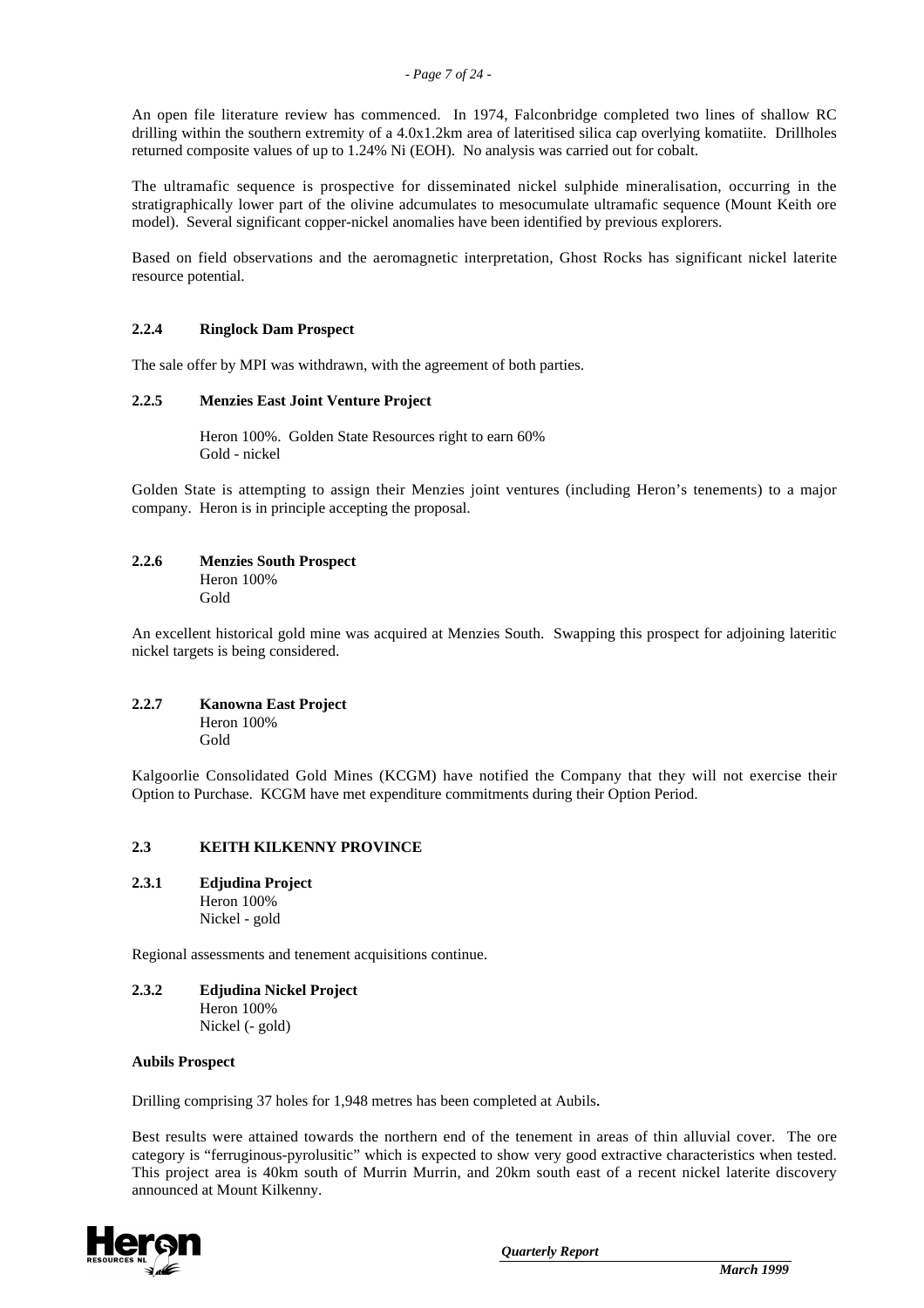An open file literature review has commenced. In 1974, Falconbridge completed two lines of shallow RC drilling within the southern extremity of a 4.0x1.2km area of lateritised silica cap overlying komatiite. Drillholes returned composite values of up to 1.24% Ni (EOH). No analysis was carried out for cobalt.

The ultramafic sequence is prospective for disseminated nickel sulphide mineralisation, occurring in the stratigraphically lower part of the olivine adcumulates to mesocumulate ultramafic sequence (Mount Keith ore model). Several significant copper-nickel anomalies have been identified by previous explorers.

Based on field observations and the aeromagnetic interpretation, Ghost Rocks has significant nickel laterite resource potential.

#### **2.2.4 Ringlock Dam Prospect**

The sale offer by MPI was withdrawn, with the agreement of both parties.

#### **2.2.5 Menzies East Joint Venture Project**

Heron 100%. Golden State Resources right to earn 60% Gold - nickel

Golden State is attempting to assign their Menzies joint ventures (including Heron's tenements) to a major company. Heron is in principle accepting the proposal.

# **2.2.6 Menzies South Prospect**

Heron 100% Gold

An excellent historical gold mine was acquired at Menzies South. Swapping this prospect for adjoining lateritic nickel targets is being considered.

#### **2.2.7 Kanowna East Project** Heron 100%

Gold

Kalgoorlie Consolidated Gold Mines (KCGM) have notified the Company that they will not exercise their Option to Purchase. KCGM have met expenditure commitments during their Option Period.

#### **2.3 KEITH KILKENNY PROVINCE**

**2.3.1 Edjudina Project**

Heron 100% Nickel - gold

Regional assessments and tenement acquisitions continue.

**2.3.2 Edjudina Nickel Project** Heron 100% Nickel (- gold)

#### **Aubils Prospect**

Drilling comprising 37 holes for 1,948 metres has been completed at Aubils*.*

Best results were attained towards the northern end of the tenement in areas of thin alluvial cover. The ore category is "ferruginous-pyrolusitic" which is expected to show very good extractive characteristics when tested. This project area is 40km south of Murrin Murrin, and 20km south east of a recent nickel laterite discovery announced at Mount Kilkenny.

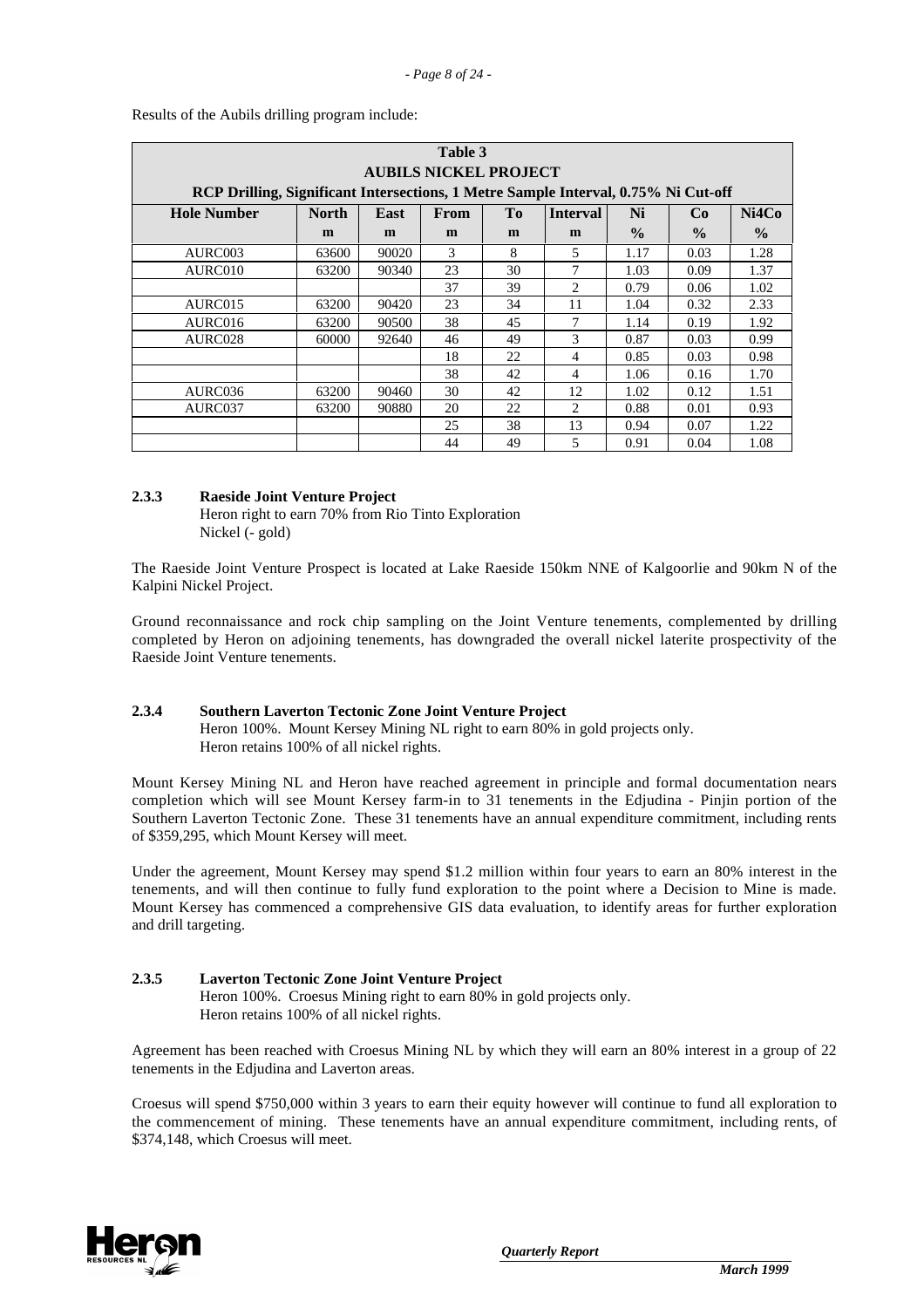| Table 3                                                                            |                              |       |      |                |                 |               |               |       |  |
|------------------------------------------------------------------------------------|------------------------------|-------|------|----------------|-----------------|---------------|---------------|-------|--|
|                                                                                    | <b>AUBILS NICKEL PROJECT</b> |       |      |                |                 |               |               |       |  |
| RCP Drilling, Significant Intersections, 1 Metre Sample Interval, 0.75% Ni Cut-off |                              |       |      |                |                 |               |               |       |  |
| <b>Hole Number</b>                                                                 | <b>North</b>                 | East  | From | T <sub>0</sub> | <b>Interval</b> | Ni            | Co            | Ni4Co |  |
|                                                                                    | m                            | m     | m    | m              | m               | $\frac{0}{0}$ | $\frac{0}{0}$ | $\%$  |  |
| AURC003                                                                            | 63600                        | 90020 | 3    | 8              | 5               | 1.17          | 0.03          | 1.28  |  |
| AURC010                                                                            | 63200                        | 90340 | 23   | 30             | 7               | 1.03          | 0.09          | 1.37  |  |
|                                                                                    |                              |       | 37   | 39             | 2               | 0.79          | 0.06          | 1.02  |  |
| AURC015                                                                            | 63200                        | 90420 | 23   | 34             | 11              | 1.04          | 0.32          | 2.33  |  |
| AURC016                                                                            | 63200                        | 90500 | 38   | 45             | 7               | 1.14          | 0.19          | 1.92  |  |
| AURC028                                                                            | 60000                        | 92640 | 46   | 49             | 3               | 0.87          | 0.03          | 0.99  |  |
|                                                                                    |                              |       | 18   | 22             | 4               | 0.85          | 0.03          | 0.98  |  |
|                                                                                    |                              |       | 38   | 42             | 4               | 1.06          | 0.16          | 1.70  |  |
| AURC036                                                                            | 63200                        | 90460 | 30   | 42             | 12              | 1.02          | 0.12          | 1.51  |  |
| AURC037                                                                            | 63200                        | 90880 | 20   | 22             | 2               | 0.88          | 0.01          | 0.93  |  |
|                                                                                    |                              |       | 25   | 38             | 13              | 0.94          | 0.07          | 1.22  |  |
|                                                                                    |                              |       | 44   | 49             | 5               | 0.91          | 0.04          | 1.08  |  |

Results of the Aubils drilling program include:

### **2.3.3 Raeside Joint Venture Project**

Heron right to earn 70% from Rio Tinto Exploration Nickel (- gold)

The Raeside Joint Venture Prospect is located at Lake Raeside 150km NNE of Kalgoorlie and 90km N of the Kalpini Nickel Project.

Ground reconnaissance and rock chip sampling on the Joint Venture tenements, complemented by drilling completed by Heron on adjoining tenements, has downgraded the overall nickel laterite prospectivity of the Raeside Joint Venture tenements.

# **2.3.4 Southern Laverton Tectonic Zone Joint Venture Project**

Heron 100%. Mount Kersey Mining NL right to earn 80% in gold projects only. Heron retains 100% of all nickel rights.

Mount Kersey Mining NL and Heron have reached agreement in principle and formal documentation nears completion which will see Mount Kersey farm-in to 31 tenements in the Edjudina - Pinjin portion of the Southern Laverton Tectonic Zone. These 31 tenements have an annual expenditure commitment, including rents of \$359,295, which Mount Kersey will meet.

Under the agreement, Mount Kersey may spend \$1.2 million within four years to earn an 80% interest in the tenements, and will then continue to fully fund exploration to the point where a Decision to Mine is made. Mount Kersey has commenced a comprehensive GIS data evaluation, to identify areas for further exploration and drill targeting.

### **2.3.5 Laverton Tectonic Zone Joint Venture Project** Heron 100%. Croesus Mining right to earn 80% in gold projects only. Heron retains 100% of all nickel rights.

Agreement has been reached with Croesus Mining NL by which they will earn an 80% interest in a group of 22 tenements in the Edjudina and Laverton areas.

Croesus will spend \$750,000 within 3 years to earn their equity however will continue to fund all exploration to the commencement of mining. These tenements have an annual expenditure commitment, including rents, of \$374,148, which Croesus will meet.

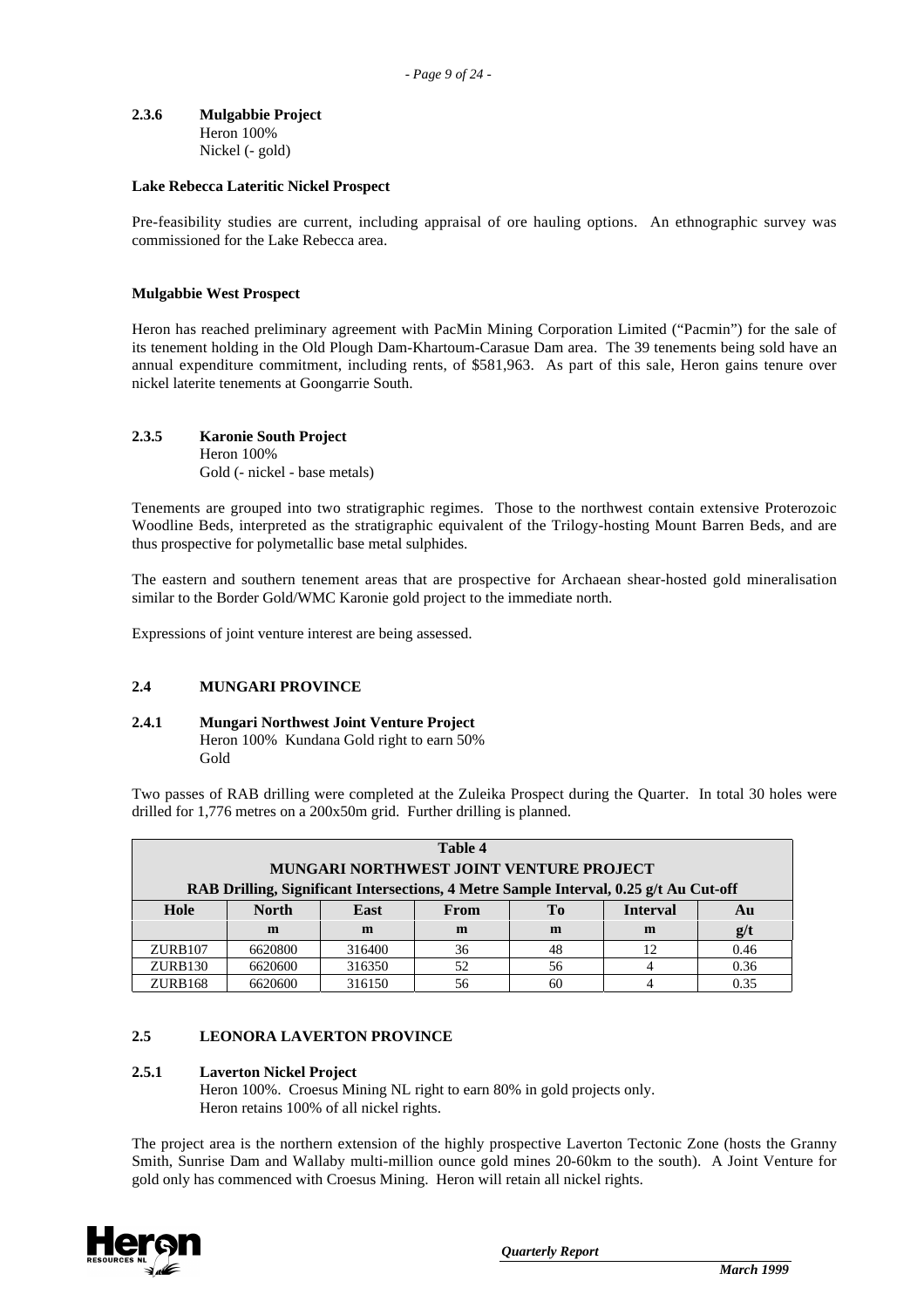**2.3.6 Mulgabbie Project** Heron 100% Nickel (- gold)

#### **Lake Rebecca Lateritic Nickel Prospect**

Pre-feasibility studies are current, including appraisal of ore hauling options. An ethnographic survey was commissioned for the Lake Rebecca area.

#### **Mulgabbie West Prospect**

Heron has reached preliminary agreement with PacMin Mining Corporation Limited ("Pacmin") for the sale of its tenement holding in the Old Plough Dam-Khartoum-Carasue Dam area. The 39 tenements being sold have an annual expenditure commitment, including rents, of \$581,963. As part of this sale, Heron gains tenure over nickel laterite tenements at Goongarrie South.

**2.3.5 Karonie South Project** Heron 100% Gold (- nickel - base metals)

Tenements are grouped into two stratigraphic regimes. Those to the northwest contain extensive Proterozoic Woodline Beds, interpreted as the stratigraphic equivalent of the Trilogy-hosting Mount Barren Beds, and are thus prospective for polymetallic base metal sulphides.

The eastern and southern tenement areas that are prospective for Archaean shear-hosted gold mineralisation similar to the Border Gold/WMC Karonie gold project to the immediate north.

Expressions of joint venture interest are being assessed.

#### **2.4 MUNGARI PROVINCE**

#### **2.4.1 Mungari Northwest Joint Venture Project** Heron 100% Kundana Gold right to earn 50% Gold

Two passes of RAB drilling were completed at the Zuleika Prospect during the Quarter. In total 30 holes were drilled for 1,776 metres on a 200x50m grid. Further drilling is planned.

| Table 4                                                                               |              |        |      |    |                 |      |  |
|---------------------------------------------------------------------------------------|--------------|--------|------|----|-----------------|------|--|
| <b>MUNGARI NORTHWEST JOINT VENTURE PROJECT</b>                                        |              |        |      |    |                 |      |  |
| RAB Drilling, Significant Intersections, 4 Metre Sample Interval, 0.25 g/t Au Cut-off |              |        |      |    |                 |      |  |
| Hole                                                                                  | <b>North</b> | East   | From | Tо | <b>Interval</b> | Au   |  |
|                                                                                       | m            | m      | m    | m  | m               | g/t  |  |
| ZURB107                                                                               | 6620800      | 316400 | 36   | 48 | 12              | 0.46 |  |
| ZURB <sub>130</sub>                                                                   | 6620600      | 316350 | 52   | 56 |                 | 0.36 |  |
| ZURB168                                                                               | 6620600      | 316150 | 56   | 60 |                 | 0.35 |  |

#### **2.5 LEONORA LAVERTON PROVINCE**

#### **2.5.1 Laverton Nickel Project**

Heron 100%. Croesus Mining NL right to earn 80% in gold projects only. Heron retains 100% of all nickel rights.

The project area is the northern extension of the highly prospective Laverton Tectonic Zone (hosts the Granny Smith, Sunrise Dam and Wallaby multi-million ounce gold mines 20-60km to the south). A Joint Venture for gold only has commenced with Croesus Mining. Heron will retain all nickel rights.

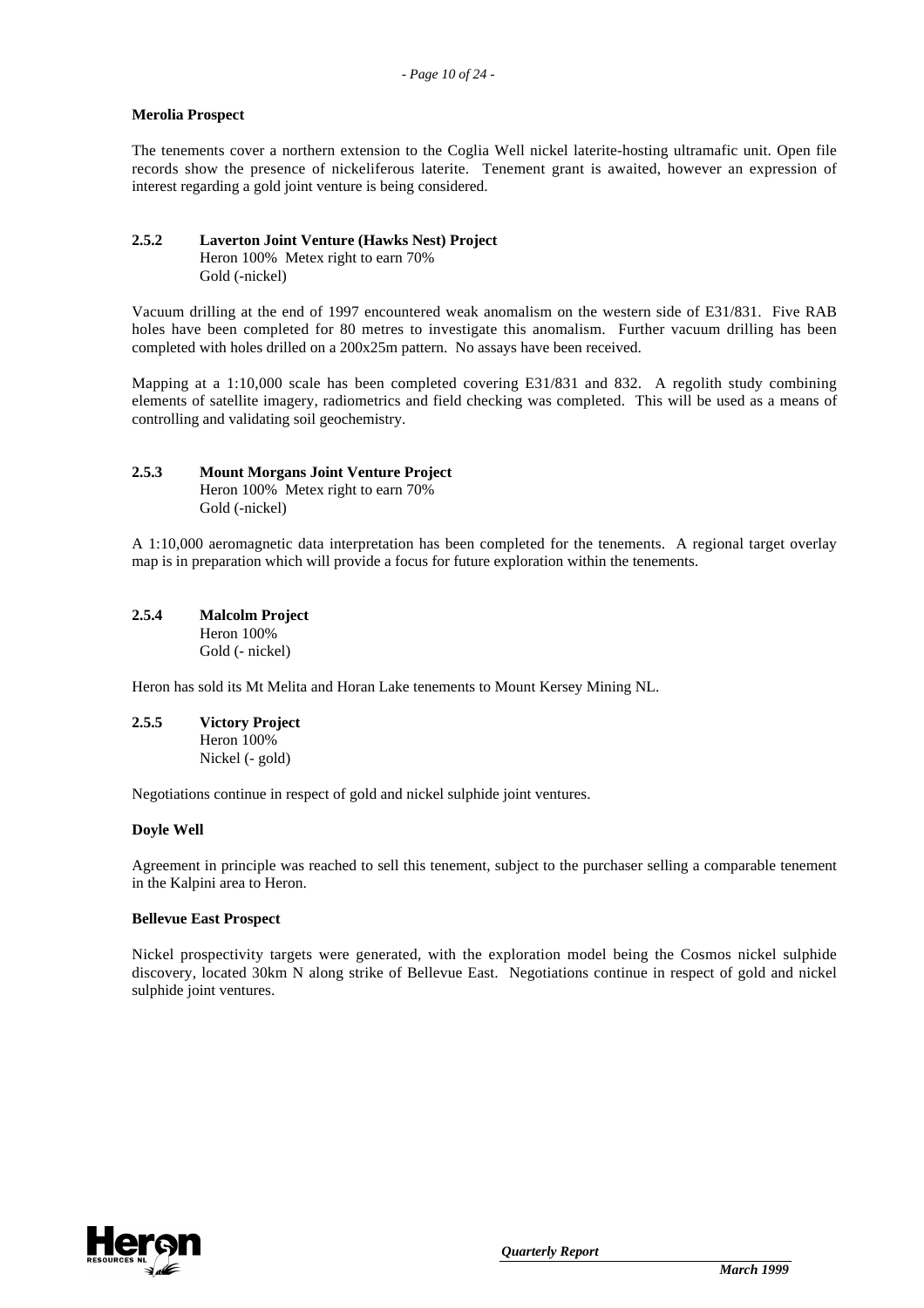#### **Merolia Prospect**

The tenements cover a northern extension to the Coglia Well nickel laterite-hosting ultramafic unit. Open file records show the presence of nickeliferous laterite. Tenement grant is awaited, however an expression of interest regarding a gold joint venture is being considered.

## **2.5.2 Laverton Joint Venture (Hawks Nest) Project**

Heron 100% Metex right to earn 70% Gold (-nickel)

Vacuum drilling at the end of 1997 encountered weak anomalism on the western side of E31/831. Five RAB holes have been completed for 80 metres to investigate this anomalism. Further vacuum drilling has been completed with holes drilled on a 200x25m pattern. No assays have been received.

Mapping at a 1:10,000 scale has been completed covering E31/831 and 832. A regolith study combining elements of satellite imagery, radiometrics and field checking was completed. This will be used as a means of controlling and validating soil geochemistry.

# **2.5.3 Mount Morgans Joint Venture Project**

Heron 100% Metex right to earn 70% Gold (-nickel)

A 1:10,000 aeromagnetic data interpretation has been completed for the tenements. A regional target overlay map is in preparation which will provide a focus for future exploration within the tenements.

# **2.5.4 Malcolm Project**

Heron 100% Gold (- nickel)

Heron has sold its Mt Melita and Horan Lake tenements to Mount Kersey Mining NL.

**2.5.5 Victory Project** Heron 100%

Nickel (- gold)

Negotiations continue in respect of gold and nickel sulphide joint ventures.

# **Doyle Well**

Agreement in principle was reached to sell this tenement, subject to the purchaser selling a comparable tenement in the Kalpini area to Heron.

#### **Bellevue East Prospect**

Nickel prospectivity targets were generated, with the exploration model being the Cosmos nickel sulphide discovery, located 30km N along strike of Bellevue East. Negotiations continue in respect of gold and nickel sulphide joint ventures.

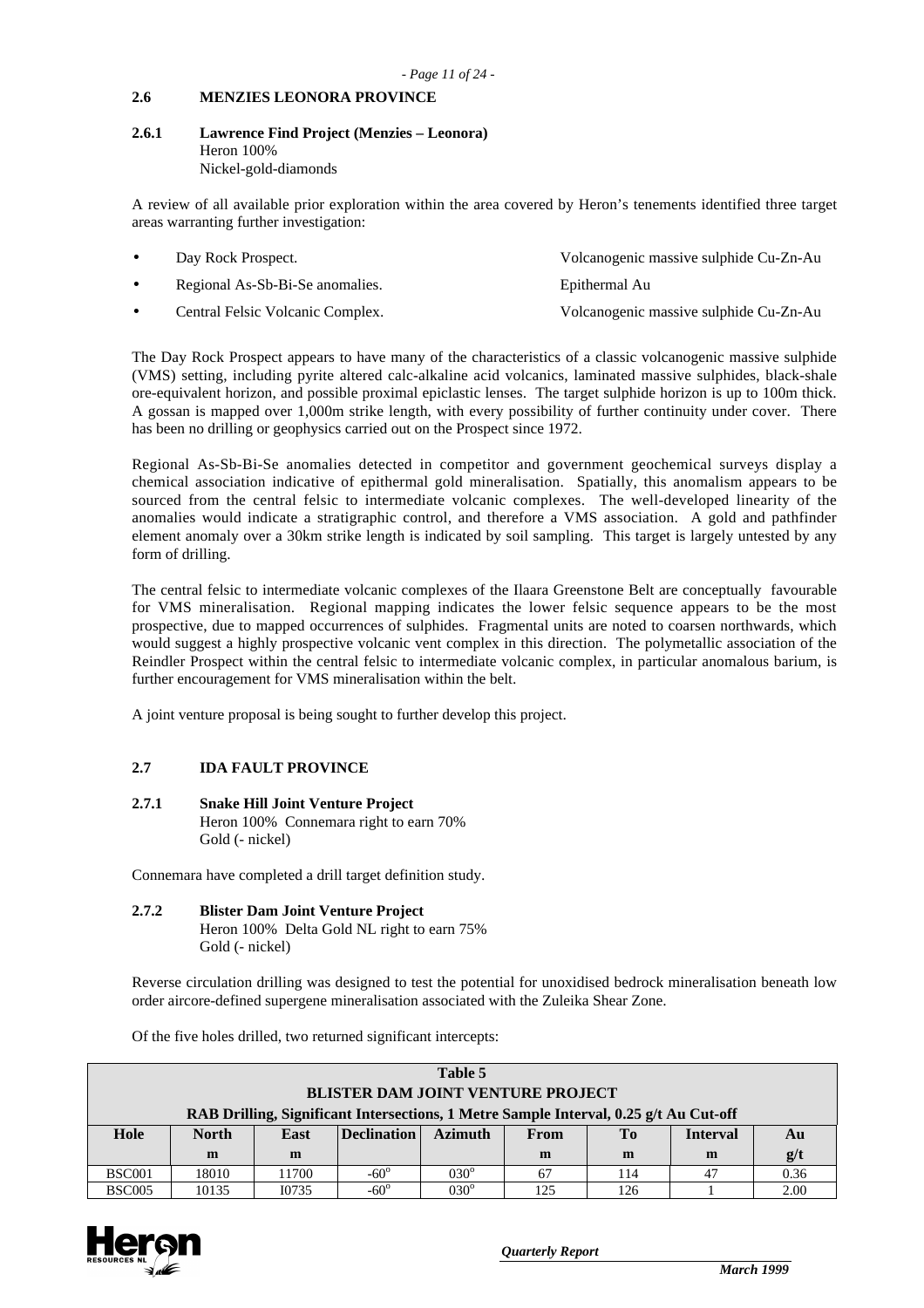#### **2.6 MENZIES LEONORA PROVINCE**

#### **2.6.1 Lawrence Find Project (Menzies – Leonora)** Heron 100% Nickel-gold-diamonds

A review of all available prior exploration within the area covered by Heron's tenements identified three target areas warranting further investigation:

| Day Rock Prospect.               | Volcanogenic massive sulphide Cu-Zn-Au |
|----------------------------------|----------------------------------------|
| Regional As-Sb-Bi-Se anomalies.  | Epithermal Au                          |
| Central Felsic Volcanic Complex. | Volcanogenic massive sulphide Cu-Zn-Au |

The Day Rock Prospect appears to have many of the characteristics of a classic volcanogenic massive sulphide (VMS) setting, including pyrite altered calc-alkaline acid volcanics, laminated massive sulphides, black-shale ore-equivalent horizon, and possible proximal epiclastic lenses. The target sulphide horizon is up to 100m thick. A gossan is mapped over 1,000m strike length, with every possibility of further continuity under cover. There has been no drilling or geophysics carried out on the Prospect since 1972.

Regional As-Sb-Bi-Se anomalies detected in competitor and government geochemical surveys display a chemical association indicative of epithermal gold mineralisation. Spatially, this anomalism appears to be sourced from the central felsic to intermediate volcanic complexes. The well-developed linearity of the anomalies would indicate a stratigraphic control, and therefore a VMS association. A gold and pathfinder element anomaly over a 30km strike length is indicated by soil sampling. This target is largely untested by any form of drilling.

The central felsic to intermediate volcanic complexes of the Ilaara Greenstone Belt are conceptually favourable for VMS mineralisation. Regional mapping indicates the lower felsic sequence appears to be the most prospective, due to mapped occurrences of sulphides. Fragmental units are noted to coarsen northwards, which would suggest a highly prospective volcanic vent complex in this direction. The polymetallic association of the Reindler Prospect within the central felsic to intermediate volcanic complex, in particular anomalous barium, is further encouragement for VMS mineralisation within the belt.

A joint venture proposal is being sought to further develop this project.

# **2.7 IDA FAULT PROVINCE**

**2.7.1 Snake Hill Joint Venture Project** Heron 100% Connemara right to earn 70% Gold (- nickel)

Connemara have completed a drill target definition study.

# **2.7.2 Blister Dam Joint Venture Project**

Heron 100% Delta Gold NL right to earn 75% Gold (- nickel)

Reverse circulation drilling was designed to test the potential for unoxidised bedrock mineralisation beneath low order aircore-defined supergene mineralisation associated with the Zuleika Shear Zone.

Of the five holes drilled, two returned significant intercepts:

| Table 5                                                                               |              |       |                    |                |      |     |                 |      |
|---------------------------------------------------------------------------------------|--------------|-------|--------------------|----------------|------|-----|-----------------|------|
| <b>BLISTER DAM JOINT VENTURE PROJECT</b>                                              |              |       |                    |                |      |     |                 |      |
| RAB Drilling, Significant Intersections, 1 Metre Sample Interval, 0.25 g/t Au Cut-off |              |       |                    |                |      |     |                 |      |
| Hole                                                                                  | <b>North</b> | East  | <b>Declination</b> | <b>Azimuth</b> | From | To  | <b>Interval</b> | Au   |
|                                                                                       | m            | m     |                    |                | m    | m   | m               | g/t  |
| <b>BSC001</b>                                                                         | 18010        | 11700 | $-60^\circ$        | $030^\circ$    | 67   | 114 | 47              | 0.36 |
| <b>BSC005</b>                                                                         | 10135        | I0735 | $-60^\circ$        | $030^\circ$    | 125  | 126 |                 | 2.00 |

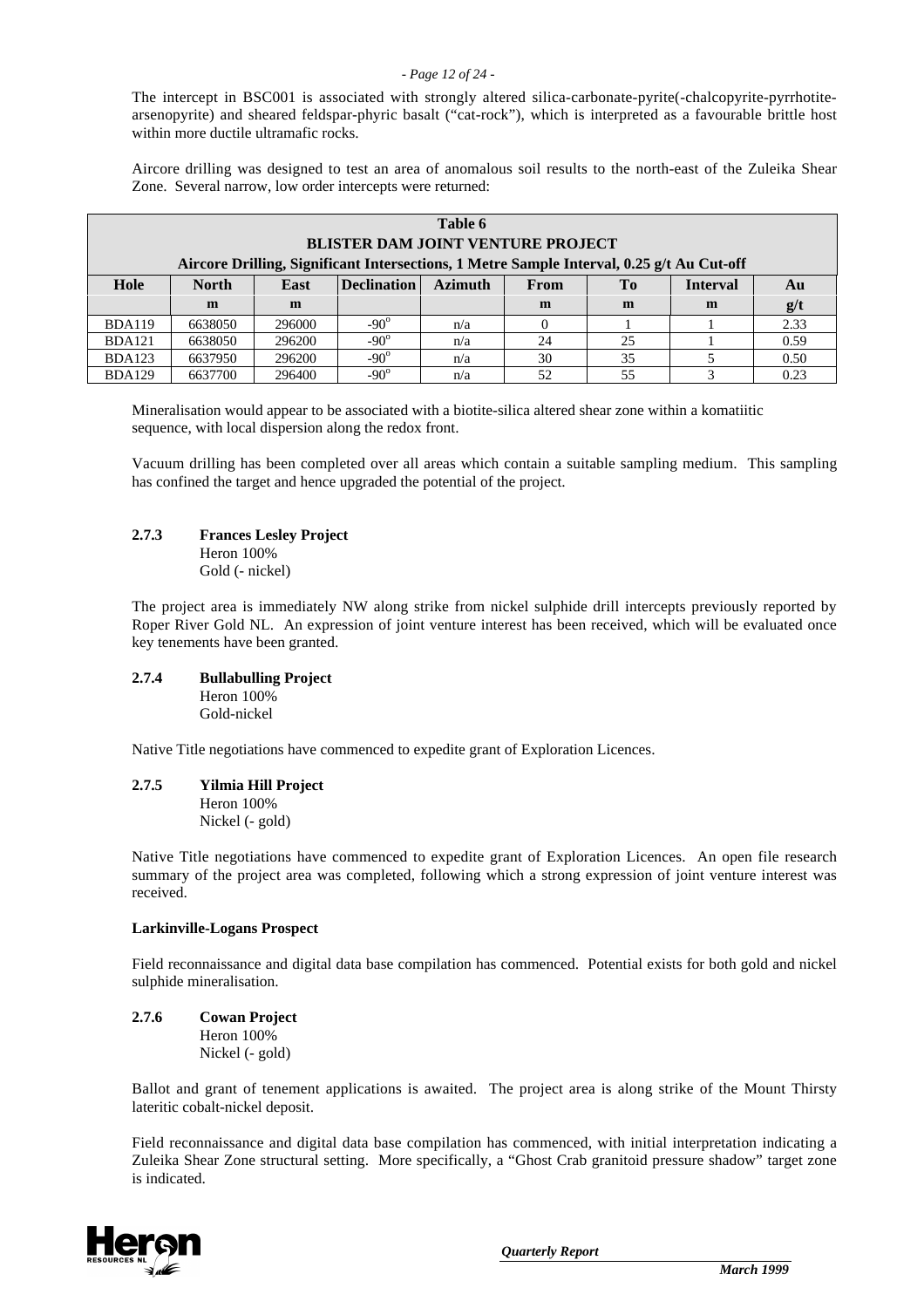#### *- Page 12 of 24 -*

The intercept in BSC001 is associated with strongly altered silica-carbonate-pyrite(-chalcopyrite-pyrrhotitearsenopyrite) and sheared feldspar-phyric basalt ("cat-rock"), which is interpreted as a favourable brittle host within more ductile ultramafic rocks.

Aircore drilling was designed to test an area of anomalous soil results to the north-east of the Zuleika Shear Zone. Several narrow, low order intercepts were returned:

| Table 6<br><b>BLISTER DAM JOINT VENTURE PROJECT</b><br>Aircore Drilling, Significant Intersections, 1 Metre Sample Interval, 0.25 g/t Au Cut-off |              |             |                    |                |             |                |                         |      |
|--------------------------------------------------------------------------------------------------------------------------------------------------|--------------|-------------|--------------------|----------------|-------------|----------------|-------------------------|------|
| Hole                                                                                                                                             | <b>North</b> | <b>East</b> | <b>Declination</b> | <b>Azimuth</b> | <b>From</b> | T <sub>0</sub> | <b>Interval</b>         | Au   |
|                                                                                                                                                  | m            | m           |                    |                | m           | m              | m                       | g/t  |
| <b>BDA119</b>                                                                                                                                    | 6638050      | 296000      | $-90^\circ$        | n/a            |             |                |                         | 2.33 |
| <b>BDA121</b>                                                                                                                                    | 6638050      | 296200      | $-90^\circ$        | n/a            | 24          | 25             |                         | 0.59 |
| <b>BDA123</b>                                                                                                                                    | 6637950      | 296200      | $-90^\circ$        | n/a            | 30          | 35             |                         | 0.50 |
| <b>BDA129</b>                                                                                                                                    | 6637700      | 296400      | $-90^\circ$        | n/a            | 52          | 55             | $\mathbf{\overline{3}}$ | 0.23 |

Mineralisation would appear to be associated with a biotite-silica altered shear zone within a komatiitic sequence, with local dispersion along the redox front.

Vacuum drilling has been completed over all areas which contain a suitable sampling medium. This sampling has confined the target and hence upgraded the potential of the project.

#### **2.7.3 Frances Lesley Project**

Heron 100% Gold (- nickel)

The project area is immediately NW along strike from nickel sulphide drill intercepts previously reported by Roper River Gold NL. An expression of joint venture interest has been received, which will be evaluated once key tenements have been granted.

#### **2.7.4 Bullabulling Project** Heron 100% Gold-nickel

Native Title negotiations have commenced to expedite grant of Exploration Licences.

**2.7.5 Yilmia Hill Project** Heron 100% Nickel (- gold)

Native Title negotiations have commenced to expedite grant of Exploration Licences. An open file research summary of the project area was completed, following which a strong expression of joint venture interest was received.

#### **Larkinville-Logans Prospect**

Field reconnaissance and digital data base compilation has commenced. Potential exists for both gold and nickel sulphide mineralisation.

# **2.7.6 Cowan Project**

Heron 100% Nickel (- gold)

Ballot and grant of tenement applications is awaited. The project area is along strike of the Mount Thirsty lateritic cobalt-nickel deposit.

Field reconnaissance and digital data base compilation has commenced, with initial interpretation indicating a Zuleika Shear Zone structural setting. More specifically, a "Ghost Crab granitoid pressure shadow" target zone is indicated.

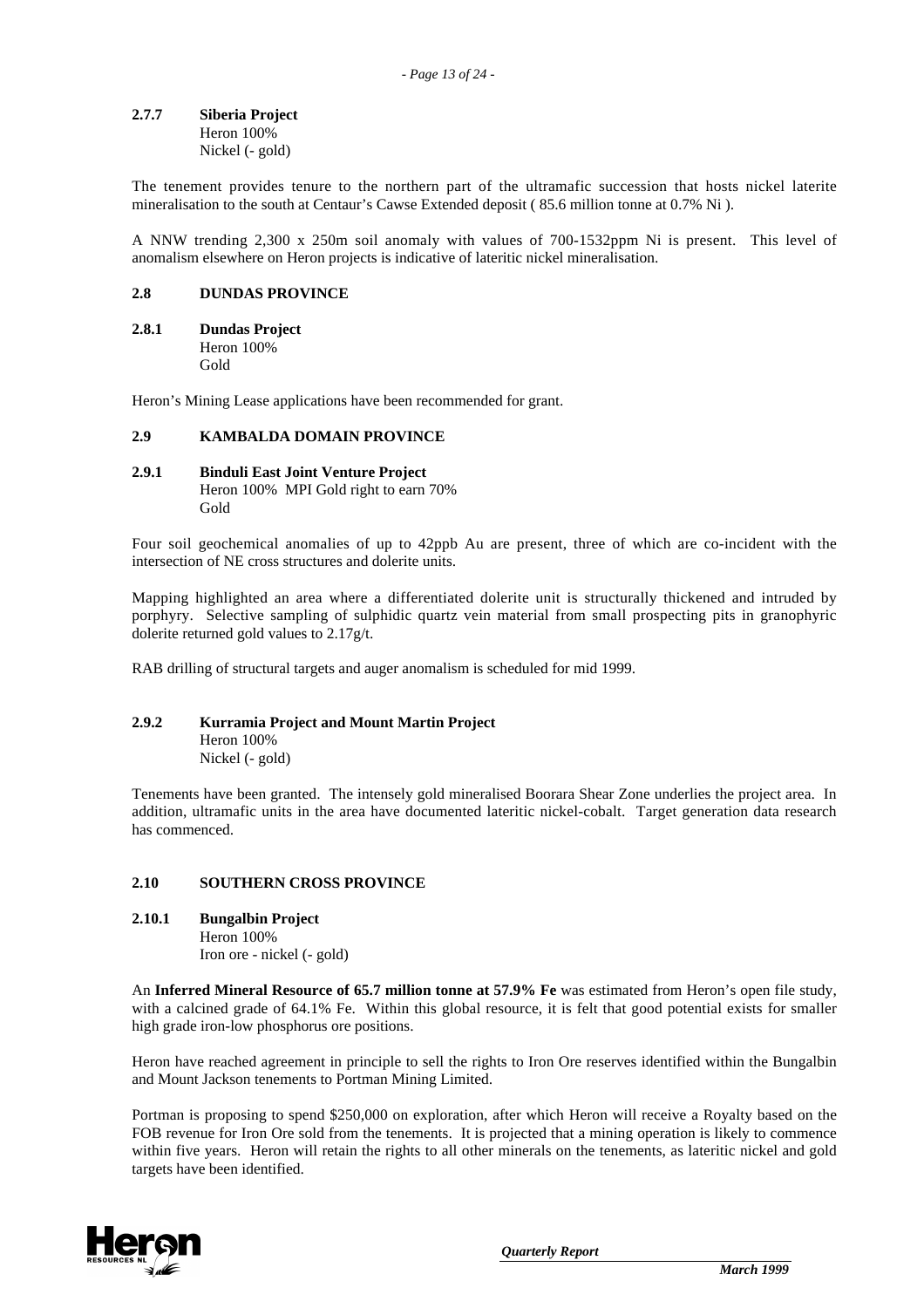#### **2.7.7 Siberia Project** Heron 100%

Nickel (- gold)

The tenement provides tenure to the northern part of the ultramafic succession that hosts nickel laterite mineralisation to the south at Centaur's Cawse Extended deposit ( 85.6 million tonne at 0.7% Ni ).

A NNW trending 2,300 x 250m soil anomaly with values of 700-1532ppm Ni is present. This level of anomalism elsewhere on Heron projects is indicative of lateritic nickel mineralisation.

### **2.8 DUNDAS PROVINCE**

#### **2.8.1 Dundas Project** Heron 100% Gold

Heron's Mining Lease applications have been recommended for grant.

#### **2.9 KAMBALDA DOMAIN PROVINCE**

### **2.9.1 Binduli East Joint Venture Project**

Heron 100% MPI Gold right to earn 70% Gold

Four soil geochemical anomalies of up to 42ppb Au are present, three of which are co-incident with the intersection of NE cross structures and dolerite units.

Mapping highlighted an area where a differentiated dolerite unit is structurally thickened and intruded by porphyry. Selective sampling of sulphidic quartz vein material from small prospecting pits in granophyric dolerite returned gold values to 2.17g/t.

RAB drilling of structural targets and auger anomalism is scheduled for mid 1999.

# **2.9.2 Kurramia Project and Mount Martin Project**

Heron 100% Nickel (- gold)

Tenements have been granted. The intensely gold mineralised Boorara Shear Zone underlies the project area. In addition, ultramafic units in the area have documented lateritic nickel-cobalt. Target generation data research has commenced.

## **2.10 SOUTHERN CROSS PROVINCE**

**2.10.1 Bungalbin Project** Heron 100% Iron ore - nickel (- gold)

An **Inferred Mineral Resource of 65.7 million tonne at 57.9% Fe** was estimated from Heron's open file study, with a calcined grade of 64.1% Fe. Within this global resource, it is felt that good potential exists for smaller high grade iron-low phosphorus ore positions.

Heron have reached agreement in principle to sell the rights to Iron Ore reserves identified within the Bungalbin and Mount Jackson tenements to Portman Mining Limited.

Portman is proposing to spend \$250,000 on exploration, after which Heron will receive a Royalty based on the FOB revenue for Iron Ore sold from the tenements. It is projected that a mining operation is likely to commence within five years. Heron will retain the rights to all other minerals on the tenements, as lateritic nickel and gold targets have been identified.

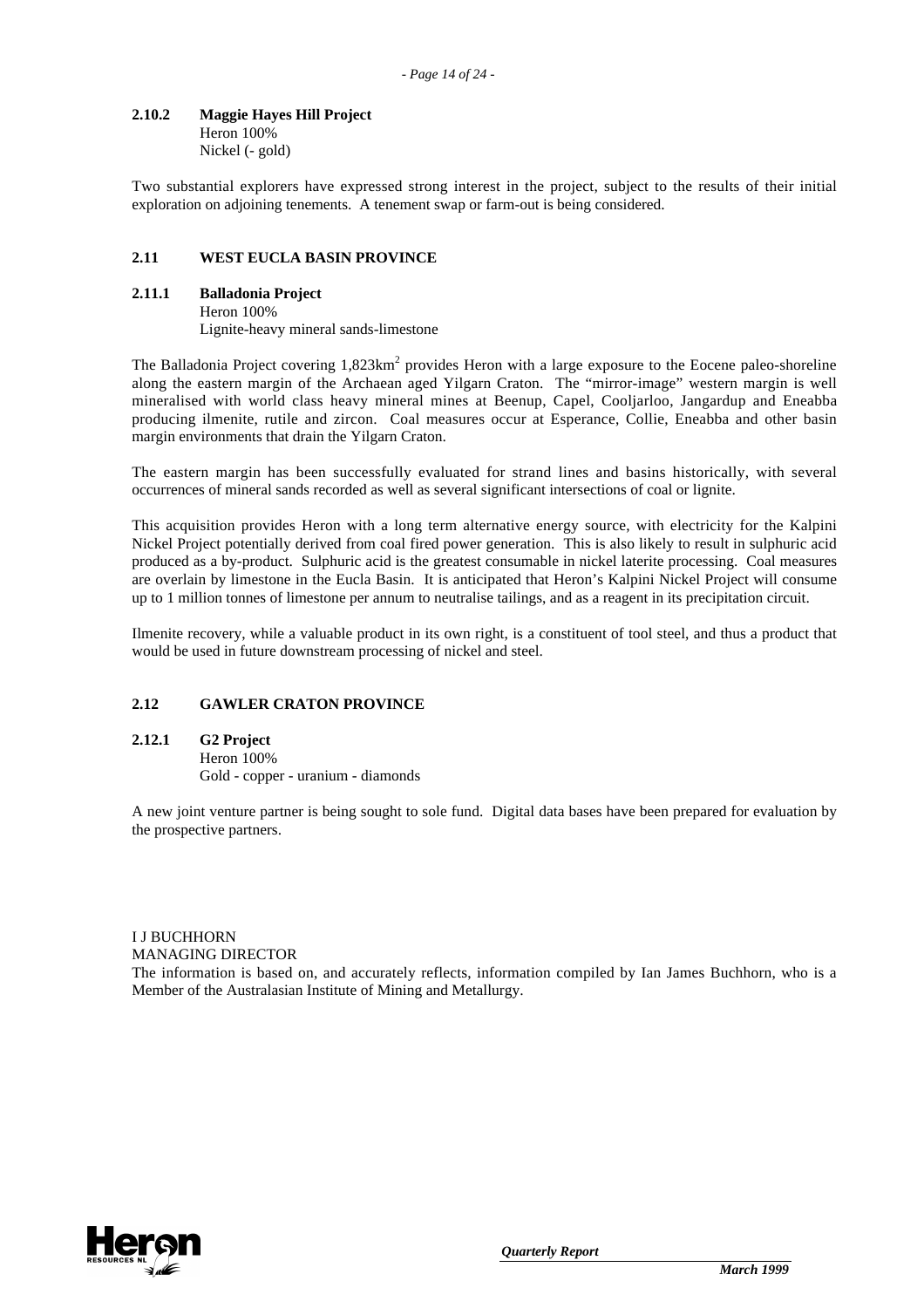#### **2.10.2 Maggie Hayes Hill Project** Heron 100%

Nickel (- gold)

Two substantial explorers have expressed strong interest in the project, subject to the results of their initial exploration on adjoining tenements. A tenement swap or farm-out is being considered.

# **2.11 WEST EUCLA BASIN PROVINCE**

#### **2.11.1 Balladonia Project**

Heron 100% Lignite-heavy mineral sands-limestone

The Balladonia Project covering  $1,823$ km<sup>2</sup> provides Heron with a large exposure to the Eocene paleo-shoreline along the eastern margin of the Archaean aged Yilgarn Craton. The "mirror-image" western margin is well mineralised with world class heavy mineral mines at Beenup, Capel, Cooljarloo, Jangardup and Eneabba producing ilmenite, rutile and zircon. Coal measures occur at Esperance, Collie, Eneabba and other basin margin environments that drain the Yilgarn Craton.

The eastern margin has been successfully evaluated for strand lines and basins historically, with several occurrences of mineral sands recorded as well as several significant intersections of coal or lignite.

This acquisition provides Heron with a long term alternative energy source, with electricity for the Kalpini Nickel Project potentially derived from coal fired power generation. This is also likely to result in sulphuric acid produced as a by-product. Sulphuric acid is the greatest consumable in nickel laterite processing. Coal measures are overlain by limestone in the Eucla Basin. It is anticipated that Heron's Kalpini Nickel Project will consume up to 1 million tonnes of limestone per annum to neutralise tailings, and as a reagent in its precipitation circuit.

Ilmenite recovery, while a valuable product in its own right, is a constituent of tool steel, and thus a product that would be used in future downstream processing of nickel and steel.

# **2.12 GAWLER CRATON PROVINCE**

#### **2.12.1 G2 Project**

Heron 100% Gold - copper - uranium - diamonds

A new joint venture partner is being sought to sole fund. Digital data bases have been prepared for evaluation by the prospective partners.

# I J BUCHHORN MANAGING DIRECTOR

The information is based on, and accurately reflects, information compiled by Ian James Buchhorn, who is a Member of the Australasian Institute of Mining and Metallurgy.

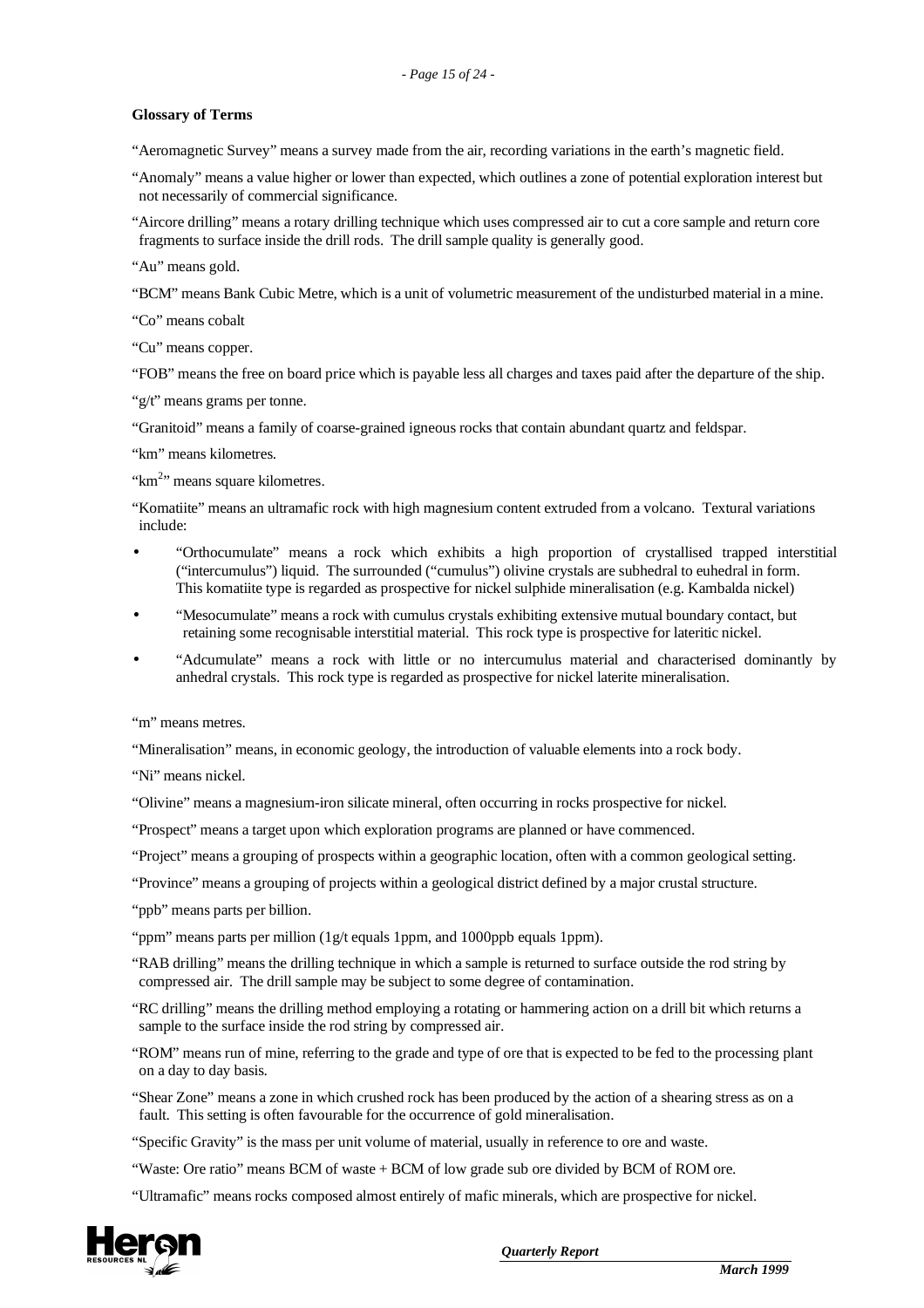#### **Glossary of Terms**

"Aeromagnetic Survey" means a survey made from the air, recording variations in the earth's magnetic field.

"Anomaly" means a value higher or lower than expected, which outlines a zone of potential exploration interest but not necessarily of commercial significance.

"Aircore drilling" means a rotary drilling technique which uses compressed air to cut a core sample and return core fragments to surface inside the drill rods. The drill sample quality is generally good.

"Au" means gold.

"BCM" means Bank Cubic Metre, which is a unit of volumetric measurement of the undisturbed material in a mine.

"Co" means cobalt

"Cu" means copper.

"FOB" means the free on board price which is payable less all charges and taxes paid after the departure of the ship.

" $g/t$ " means grams per tonne.

"Granitoid" means a family of coarse-grained igneous rocks that contain abundant quartz and feldspar.

"km" means kilometres.

" $km<sup>2</sup>$ " means square kilometres.

"Komatiite" means an ultramafic rock with high magnesium content extruded from a volcano. Textural variations include:

- "Orthocumulate" means a rock which exhibits a high proportion of crystallised trapped interstitial ("inter cum ulus") liquid. The surrounded ("cum ulus") olivine crystals are subhed ral to euned ral in form. This komatiite type is regarded as prospective for nickel sulphide mineralisation (e.g. Kambalda nickel)
- "Mesocumulate" means a rock with cumulus crystals exhibiting extensive mutual boundary contact, but retaining some recognisable interstitial material. This rock type is prospective for lateritic nickel.
- "Adcumulate" means a rock with little or no intercumulus material and characterised dominantly by anh ed ral crystals. This rock type is regarded as prospective for nickel laterite mineralisation.

"m" means metres.

"Mineralisation" means, in economic geology, the introduction of valuable elements into a rock body.

"Ni" means nickel.

"Olivine" means a magnesium-iron silicate mineral, often occurring in rocks prospective for nickel.

"Prospect" means a target upon which exploration programs are planned or have commenced.

"Project" means a grouping of prospects within a geographic location, often with a common geological setting.

"Province" means a grouping of projects within a geological district defined by a major crustal structure.

"ppb" means parts per billion.

"ppm" means parts per million  $(1g/t)$  equals 1 ppm, and 1000 ppb equals 1 ppm).

"RAB drilling" means the drilling technique in which a sample is returned to surface outside the rod string by compressed air. The drill sample may be subject to some degree of contamination.

"RC drilling" means the drilling method employing a rotating or hammering action on a drill bit which returns a sample to the surface inside the rod string by compressed air.

"ROM" means run of mine, referring to the grade and type of ore that is expected to be fed to the processing plant on a day to day basis.

"Shear Zone" means a zone in which crushed rock has been produced by the action of a shearing stress as on a fault. This setting is often favourable for the occurrence of gold mineralisation.

"Specific Gravity" is the mass per unit volume of material, usually in reference to ore and waste.

"Waste: Ore ratio" means BCM of waste + BCM of low grade sub ore divided by BCM of ROM ore.

"Ultramafic" means rocks composed almost entirely of mafic minerals, which are prospective for nickel.

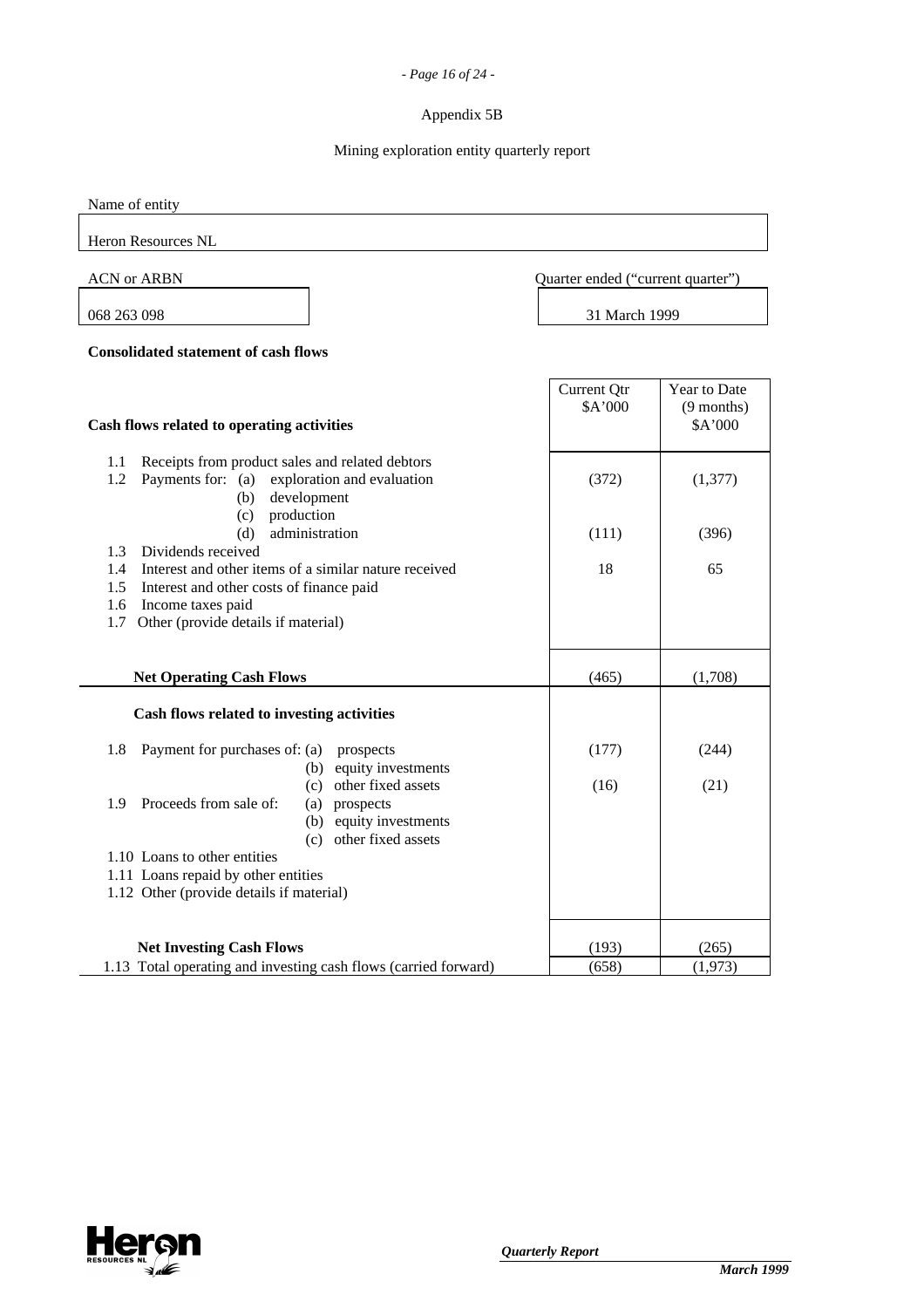## *- Page 16 of 24 -*

# Appendix 5B

# Mining exploration entity quarterly report

Name of entity

Heron Resources NL

ACN or ARBN Quarter ended ("current quarter")

٦

068 263 098 31 March 1999

**Consolidated statement of cash flows**

| Cash flows related to operating activities                                                                                                                  | Current Qtr<br>\$A'000 | <b>Year to Date</b><br>$(9$ months)<br>\$A'000 |
|-------------------------------------------------------------------------------------------------------------------------------------------------------------|------------------------|------------------------------------------------|
| Receipts from product sales and related debtors<br>1.1<br>1.2<br>Payments for: (a)<br>exploration and evaluation<br>development<br>(b)<br>production<br>(c) | (372)                  | (1, 377)                                       |
| administration<br>(d)                                                                                                                                       | (111)                  | (396)                                          |
| Dividends received<br>1.3                                                                                                                                   |                        |                                                |
| Interest and other items of a similar nature received<br>1.4                                                                                                | 18                     | 65                                             |
| Interest and other costs of finance paid<br>1.5                                                                                                             |                        |                                                |
| Income taxes paid<br>1.6<br>Other (provide details if material)<br>1.7                                                                                      |                        |                                                |
|                                                                                                                                                             |                        |                                                |
| <b>Net Operating Cash Flows</b>                                                                                                                             | (465)                  | (1,708)                                        |
| Cash flows related to investing activities                                                                                                                  |                        |                                                |
| Payment for purchases of: (a)<br>1.8<br>prospects                                                                                                           | (177)                  | (244)                                          |
| equity investments<br>(b)                                                                                                                                   |                        |                                                |
| other fixed assets<br>(c)                                                                                                                                   | (16)                   | (21)                                           |
| Proceeds from sale of:<br>(a) prospects<br>1.9                                                                                                              |                        |                                                |
| (b) equity investments                                                                                                                                      |                        |                                                |
| (c) other fixed assets<br>1.10 Loans to other entities                                                                                                      |                        |                                                |
| 1.11 Loans repaid by other entities                                                                                                                         |                        |                                                |
| 1.12 Other (provide details if material)                                                                                                                    |                        |                                                |
|                                                                                                                                                             |                        |                                                |
| <b>Net Investing Cash Flows</b>                                                                                                                             | (193)                  | (265)                                          |
| 1.13 Total operating and investing cash flows (carried forward)                                                                                             | (658)                  | (1,973)                                        |

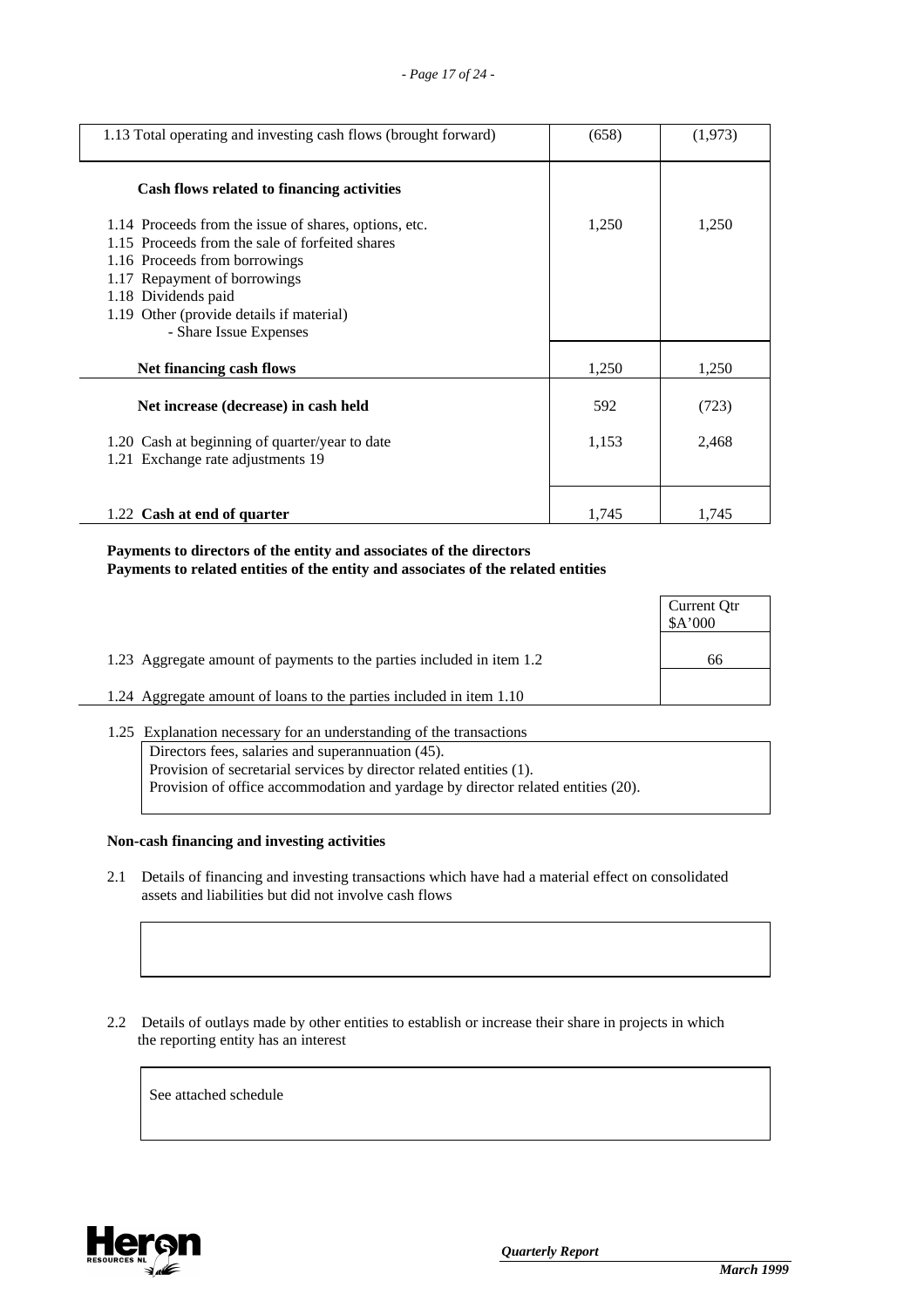| 1.13 Total operating and investing cash flows (brought forward)                                                                                                                                                                                                        | (658) | (1,973) |
|------------------------------------------------------------------------------------------------------------------------------------------------------------------------------------------------------------------------------------------------------------------------|-------|---------|
| Cash flows related to financing activities                                                                                                                                                                                                                             |       |         |
| 1.14 Proceeds from the issue of shares, options, etc.<br>1.15 Proceeds from the sale of forfeited shares<br>1.16 Proceeds from borrowings<br>1.17 Repayment of borrowings<br>1.18 Dividends paid<br>1.19 Other (provide details if material)<br>- Share Issue Expenses | 1,250 | 1,250   |
| Net financing cash flows                                                                                                                                                                                                                                               | 1,250 | 1,250   |
| Net increase (decrease) in cash held                                                                                                                                                                                                                                   | 592   | (723)   |
| 1.20 Cash at beginning of quarter/year to date<br>1.21 Exchange rate adjustments 19                                                                                                                                                                                    | 1,153 | 2,468   |
| 1.22 Cash at end of quarter                                                                                                                                                                                                                                            | 1,745 | 1,745   |

# **Payments to directors of the entity and associates of the directors Payments to related entities of the entity and associates of the related entities**

|                                                                       | Current Qtr<br>A'000 |
|-----------------------------------------------------------------------|----------------------|
| 1.23 Aggregate amount of payments to the parties included in item 1.2 | 66                   |
| 1.24 Aggregate amount of loans to the parties included in item 1.10   |                      |

1.25 Explanation necessary for an understanding of the transactions Directors fees, salaries and superannuation (45). Provision of secretarial services by director related entities (1). Provision of office accommodation and yardage by director related entities (20).

# **Non-cash financing and investing activities**

- 2.1 Details of financing and investing transactions which have had a material effect on consolidated assets and liabilities but did not involve cash flows
- 2.2 Details of outlays made by other entities to establish or increase their share in projects in which the reporting entity has an interest

See attached schedule

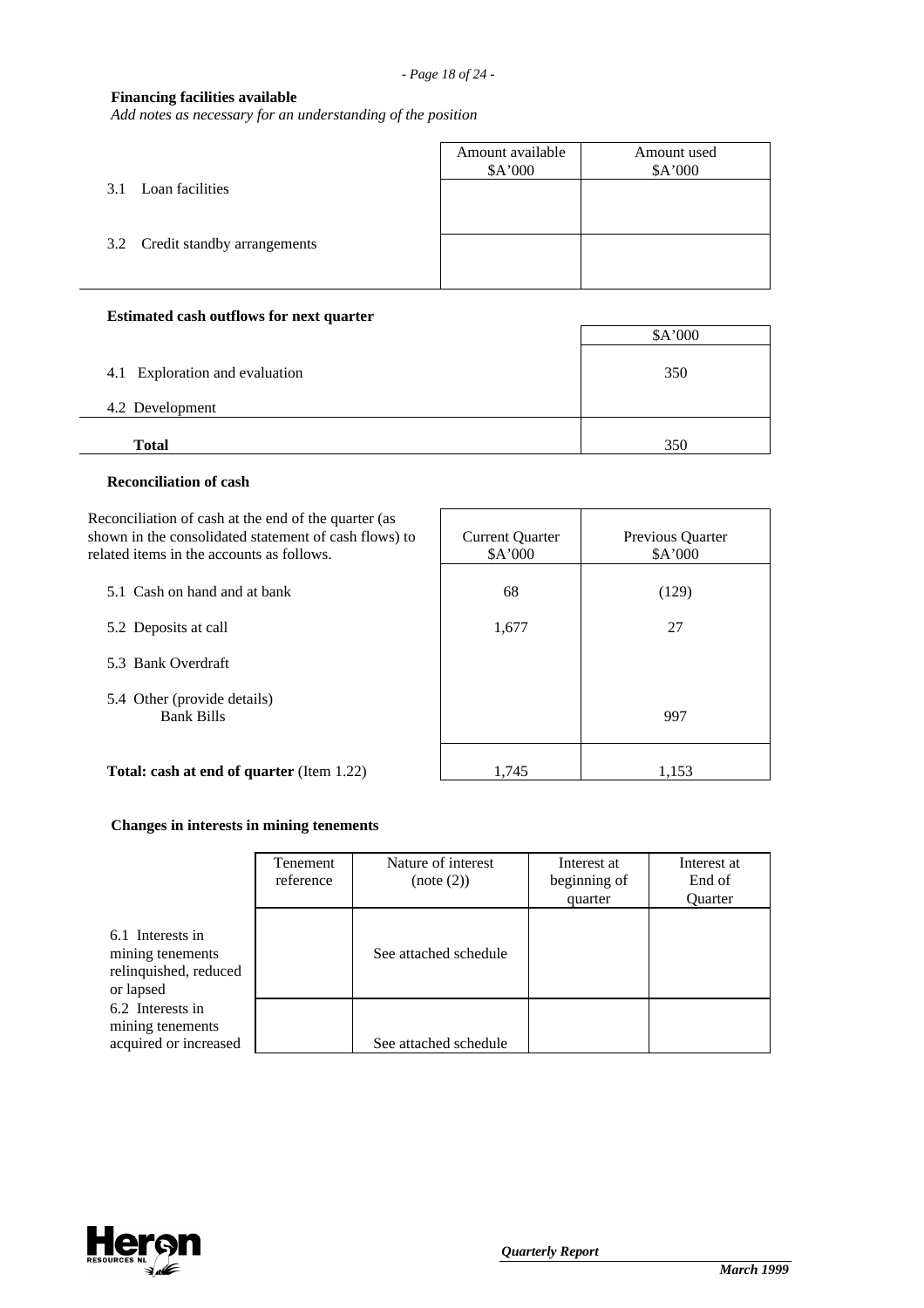## **Financing facilities available**

*Add notes as necessary for an understanding of the position*

|                                 | Amount available<br>\$A'000 | Amount used<br>\$A'000 |
|---------------------------------|-----------------------------|------------------------|
| 3.1 Loan facilities             |                             |                        |
| 3.2 Credit standby arrangements |                             |                        |
|                                 |                             |                        |

### **Estimated cash outflows for next quarter**

|                                | \$A'000 |
|--------------------------------|---------|
| 4.1 Exploration and evaluation | 350     |
| 4.2 Development                |         |
| <b>Total</b>                   | 350     |

#### **Reconciliation of cash**

Reconciliation of cash at the end of the quarter (as shown in the consolidated statement of cash flows) to related items in the accounts as follows.

- 5.1 Cash on hand and at bank
- 5.2 Deposits at call
- 5.3 Bank Overdraft
- 5.4 Other (provide details) Bank Bills

| <b>Current Quarter</b><br>\$A'000 | Previous Quarter<br>\$A'000 |
|-----------------------------------|-----------------------------|
| 68                                | (129)                       |
| 1,677                             | 27                          |
|                                   |                             |
|                                   |                             |
|                                   | 997                         |
| 1715                              | 1 153                       |

**Total: cash at end of quarter** (Item 1.22) 1,745

## **Changes in interests in mining tenements**

|                                                                            | Tenement<br>reference | Nature of interest<br>(note (2)) | Interest at<br>beginning of<br>quarter | Interest at<br>End of<br><b>Ouarter</b> |
|----------------------------------------------------------------------------|-----------------------|----------------------------------|----------------------------------------|-----------------------------------------|
| 6.1 Interests in<br>mining tenements<br>relinquished, reduced<br>or lapsed |                       | See attached schedule            |                                        |                                         |
| 6.2 Interests in<br>mining tenements<br>acquired or increased              |                       | See attached schedule            |                                        |                                         |

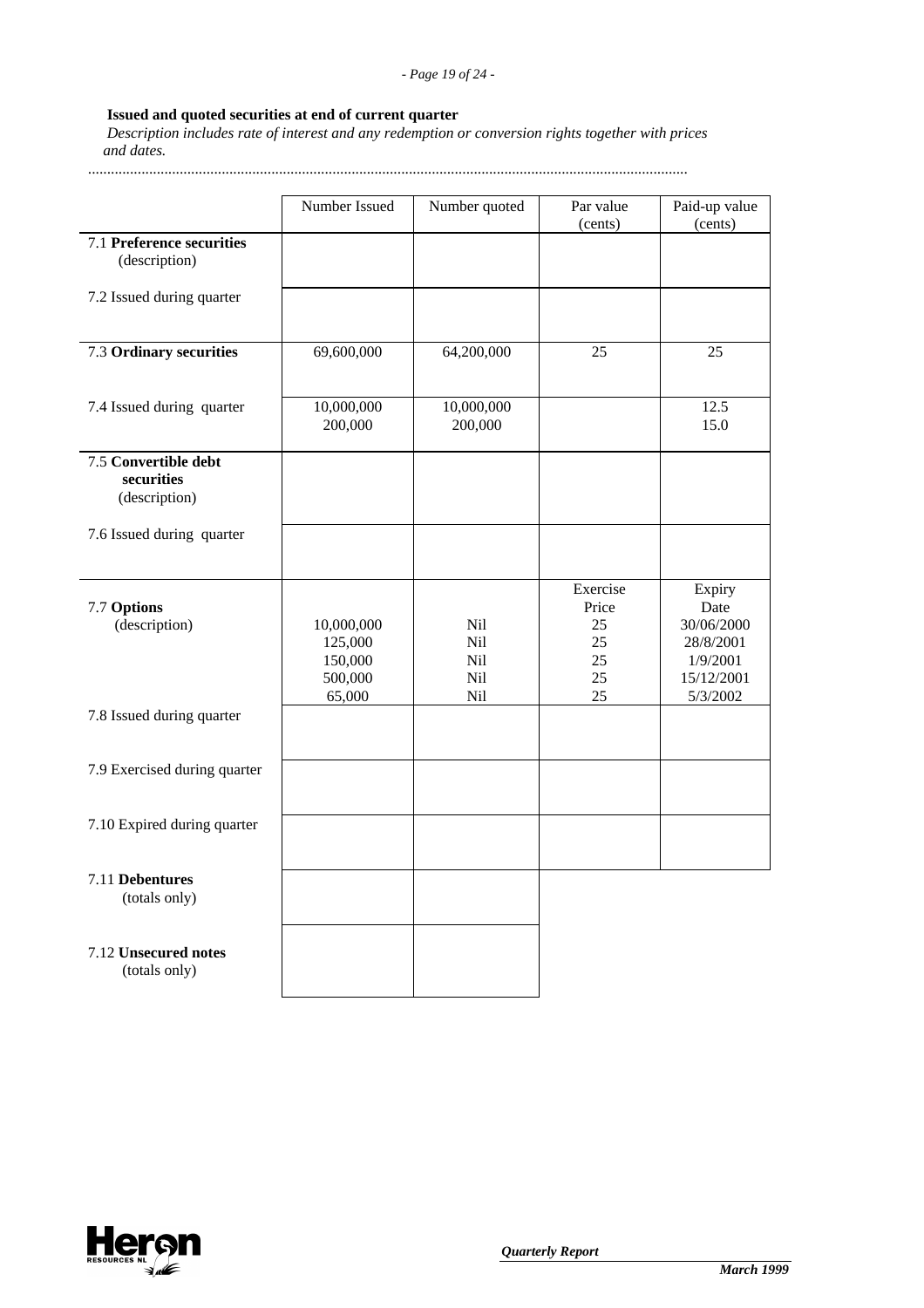# **Issued and quoted securities at end of current quarter**

 *Description includes rate of interest and any redemption or conversion rights together with prices and dates.*

.............................................................................................................................................................

|                                                     | Number Issued                                         | Number quoted                   | Par value<br>(cents)                            | Paid-up value<br>(cents)                                                        |
|-----------------------------------------------------|-------------------------------------------------------|---------------------------------|-------------------------------------------------|---------------------------------------------------------------------------------|
| 7.1 Preference securities<br>(description)          |                                                       |                                 |                                                 |                                                                                 |
| 7.2 Issued during quarter                           |                                                       |                                 |                                                 |                                                                                 |
| 7.3 Ordinary securities                             | 69,600,000                                            | 64,200,000                      | 25                                              | 25                                                                              |
| 7.4 Issued during quarter                           | 10,000,000<br>200,000                                 | 10,000,000<br>200,000           |                                                 | 12.5<br>15.0                                                                    |
| 7.5 Convertible debt<br>securities<br>(description) |                                                       |                                 |                                                 |                                                                                 |
| 7.6 Issued during quarter                           |                                                       |                                 |                                                 |                                                                                 |
| 7.7 Options<br>(description)                        | 10,000,000<br>125,000<br>150,000<br>500,000<br>65,000 | Nil<br>Nil<br>Nil<br>Nil<br>Nil | Exercise<br>Price<br>25<br>25<br>25<br>25<br>25 | Expiry<br>Date<br>30/06/2000<br>28/8/2001<br>1/9/2001<br>15/12/2001<br>5/3/2002 |
| 7.8 Issued during quarter                           |                                                       |                                 |                                                 |                                                                                 |
| 7.9 Exercised during quarter                        |                                                       |                                 |                                                 |                                                                                 |
| 7.10 Expired during quarter                         |                                                       |                                 |                                                 |                                                                                 |
| 7.11 Debentures<br>(totals only)                    |                                                       |                                 |                                                 |                                                                                 |
| 7.12 Unsecured notes<br>(totals only)               |                                                       |                                 |                                                 |                                                                                 |

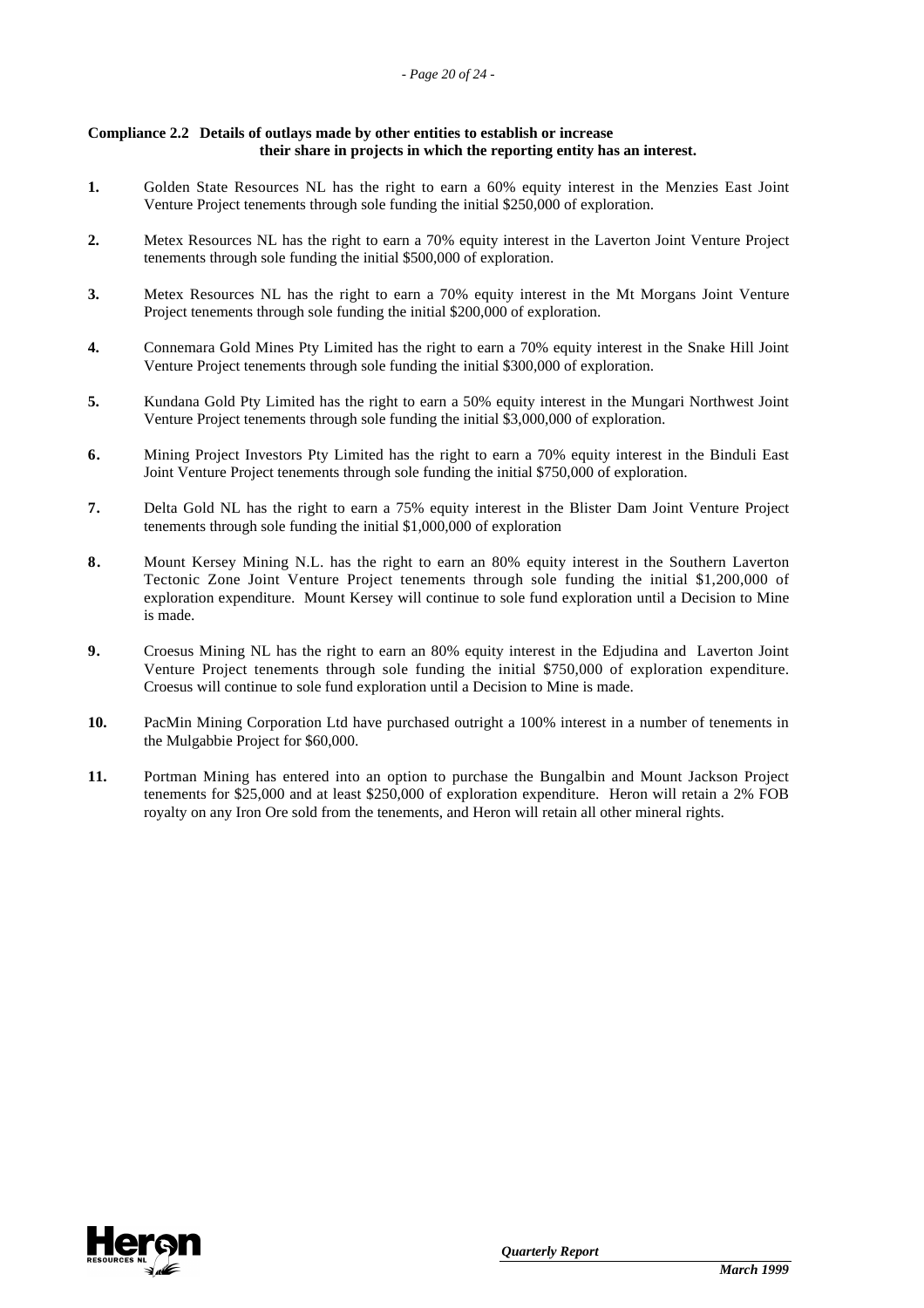#### **Compliance 2.2 Details of outlays made by other entities to establish or increase their share in projects in which the reporting entity has an interest.**

- **1.** Golden State Resources NL has the right to earn a 60% equity interest in the Menzies East Joint Venture Project tenements through sole funding the initial \$250,000 of exploration.
- **2.** Metex Resources NL has the right to earn a 70% equity interest in the Laverton Joint Venture Project tenements through sole funding the initial \$500,000 of exploration.
- **3.** Metex Resources NL has the right to earn a 70% equity interest in the Mt Morgans Joint Venture Project tenements through sole funding the initial \$200,000 of exploration.
- **4.** Connemara Gold Mines Pty Limited has the right to earn a 70% equity interest in the Snake Hill Joint Venture Project tenements through sole funding the initial \$300,000 of exploration.
- **5.** Kundana Gold Pty Limited has the right to earn a 50% equity interest in the Mungari Northwest Joint Venture Project tenements through sole funding the initial \$3,000,000 of exploration.
- **6.** Mining Project Investors Pty Limited has the right to earn a 70% equity interest in the Binduli East Joint Venture Project tenements through sole funding the initial \$750,000 of exploration.
- **7.** Delta Gold NL has the right to earn a 75% equity interest in the Blister Dam Joint Venture Project tenements through sole funding the initial \$1,000,000 of exploration
- **8.** Mount Kersey Mining N.L. has the right to earn an 80% equity interest in the Southern Laverton Tectonic Zone Joint Venture Project tenements through sole funding the initial \$1,200,000 of exploration expenditure. Mount Kersey will continue to sole fund exploration until a Decision to Mine is made.
- **9.** Croesus Mining NL has the right to earn an 80% equity interest in the Edjudina and Laverton Joint Venture Project tenements through sole funding the initial \$750,000 of exploration expenditure. Croesus will continue to sole fund exploration until a Decision to Mine is made.
- **10.** PacMin Mining Corporation Ltd have purchased outright a 100% interest in a number of tenements in the Mulgabbie Project for \$60,000.
- **11.** Portman Mining has entered into an option to purchase the Bungalbin and Mount Jackson Project tenements for \$25,000 and at least \$250,000 of exploration expenditure. Heron will retain a 2% FOB royalty on any Iron Ore sold from the tenements, and Heron will retain all other mineral rights.

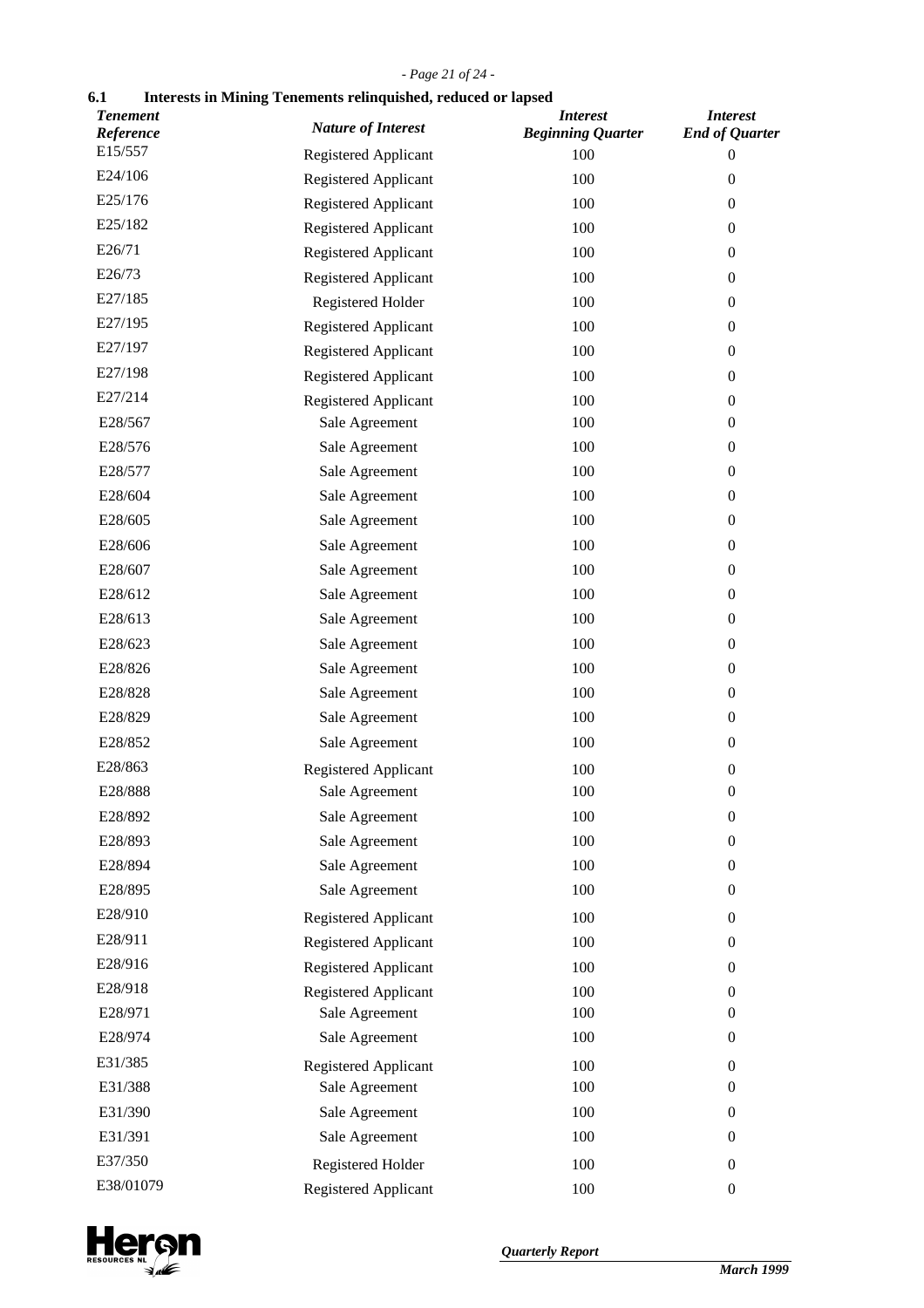# *- Page 21 of 24 -*

# **6.1 Interests in Mining Tenements relinquished, reduced or lapsed**

| <b>Tenement</b><br>Reference | <b>Nature of Interest</b>   | <b>Interest</b><br><b>Beginning Quarter</b> | <b>Interest</b><br><b>End of Quarter</b> |
|------------------------------|-----------------------------|---------------------------------------------|------------------------------------------|
| E15/557                      | <b>Registered Applicant</b> | 100                                         | 0                                        |
| E24/106                      | Registered Applicant        | 100                                         | $\boldsymbol{0}$                         |
| E25/176                      | Registered Applicant        | 100                                         | $\boldsymbol{0}$                         |
| E25/182                      | Registered Applicant        | 100                                         | $\boldsymbol{0}$                         |
| E26/71                       | Registered Applicant        | 100                                         | $\theta$                                 |
| E26/73                       | Registered Applicant        | 100                                         | $\boldsymbol{0}$                         |
| E27/185                      | Registered Holder           | 100                                         | $\boldsymbol{0}$                         |
| E27/195                      | Registered Applicant        | 100                                         | $\theta$                                 |
| E27/197                      | Registered Applicant        | 100                                         | $\boldsymbol{0}$                         |
| E27/198                      | Registered Applicant        | 100                                         | $\boldsymbol{0}$                         |
| E27/214                      | Registered Applicant        | 100                                         | $\boldsymbol{0}$                         |
| E28/567                      | Sale Agreement              | 100                                         | $\boldsymbol{0}$                         |
| E28/576                      | Sale Agreement              | 100                                         | $\boldsymbol{0}$                         |
| E28/577                      | Sale Agreement              | 100                                         | $\boldsymbol{0}$                         |
| E28/604                      | Sale Agreement              | 100                                         | $\boldsymbol{0}$                         |
| E28/605                      | Sale Agreement              | 100                                         | $\boldsymbol{0}$                         |
| E28/606                      | Sale Agreement              | 100                                         | $\boldsymbol{0}$                         |
| E28/607                      | Sale Agreement              | 100                                         | $\theta$                                 |
| E28/612                      | Sale Agreement              | 100                                         | $\boldsymbol{0}$                         |
| E28/613                      | Sale Agreement              | 100                                         | $\boldsymbol{0}$                         |
| E28/623                      | Sale Agreement              | 100                                         | $\theta$                                 |
| E28/826                      | Sale Agreement              | 100                                         | $\boldsymbol{0}$                         |
| E28/828                      | Sale Agreement              | 100                                         | $\boldsymbol{0}$                         |
| E28/829                      | Sale Agreement              | 100                                         | $\boldsymbol{0}$                         |
| E28/852                      | Sale Agreement              | 100                                         | $\boldsymbol{0}$                         |
| E28/863                      | <b>Registered Applicant</b> | 100                                         | $\boldsymbol{0}$                         |
| E28/888                      | Sale Agreement              | 100                                         | $\boldsymbol{0}$                         |
| E28/892                      | Sale Agreement              | 100                                         | $\boldsymbol{0}$                         |
| E28/893                      | Sale Agreement              | 100                                         | $\boldsymbol{0}$                         |
| E28/894                      | Sale Agreement              | 100                                         | $\boldsymbol{0}$                         |
| E28/895                      | Sale Agreement              | 100                                         | $\boldsymbol{0}$                         |
| E28/910                      | Registered Applicant        | 100                                         | $\boldsymbol{0}$                         |
| E28/911                      | Registered Applicant        | 100                                         | $\overline{0}$                           |
| E28/916                      | Registered Applicant        | 100                                         | $\boldsymbol{0}$                         |
| E28/918                      | Registered Applicant        | 100                                         | $\boldsymbol{0}$                         |
| E28/971                      | Sale Agreement              | 100                                         | $\boldsymbol{0}$                         |
| E28/974                      | Sale Agreement              | 100                                         | $\boldsymbol{0}$                         |
| E31/385                      | Registered Applicant        | 100                                         | $\boldsymbol{0}$                         |
| E31/388                      | Sale Agreement              | 100                                         | $\overline{0}$                           |
| E31/390                      | Sale Agreement              | 100                                         | $\boldsymbol{0}$                         |
| E31/391                      | Sale Agreement              | 100                                         | $\boldsymbol{0}$                         |
| E37/350                      | Registered Holder           | 100                                         | $\boldsymbol{0}$                         |
| E38/01079                    | Registered Applicant        | 100                                         | $\boldsymbol{0}$                         |

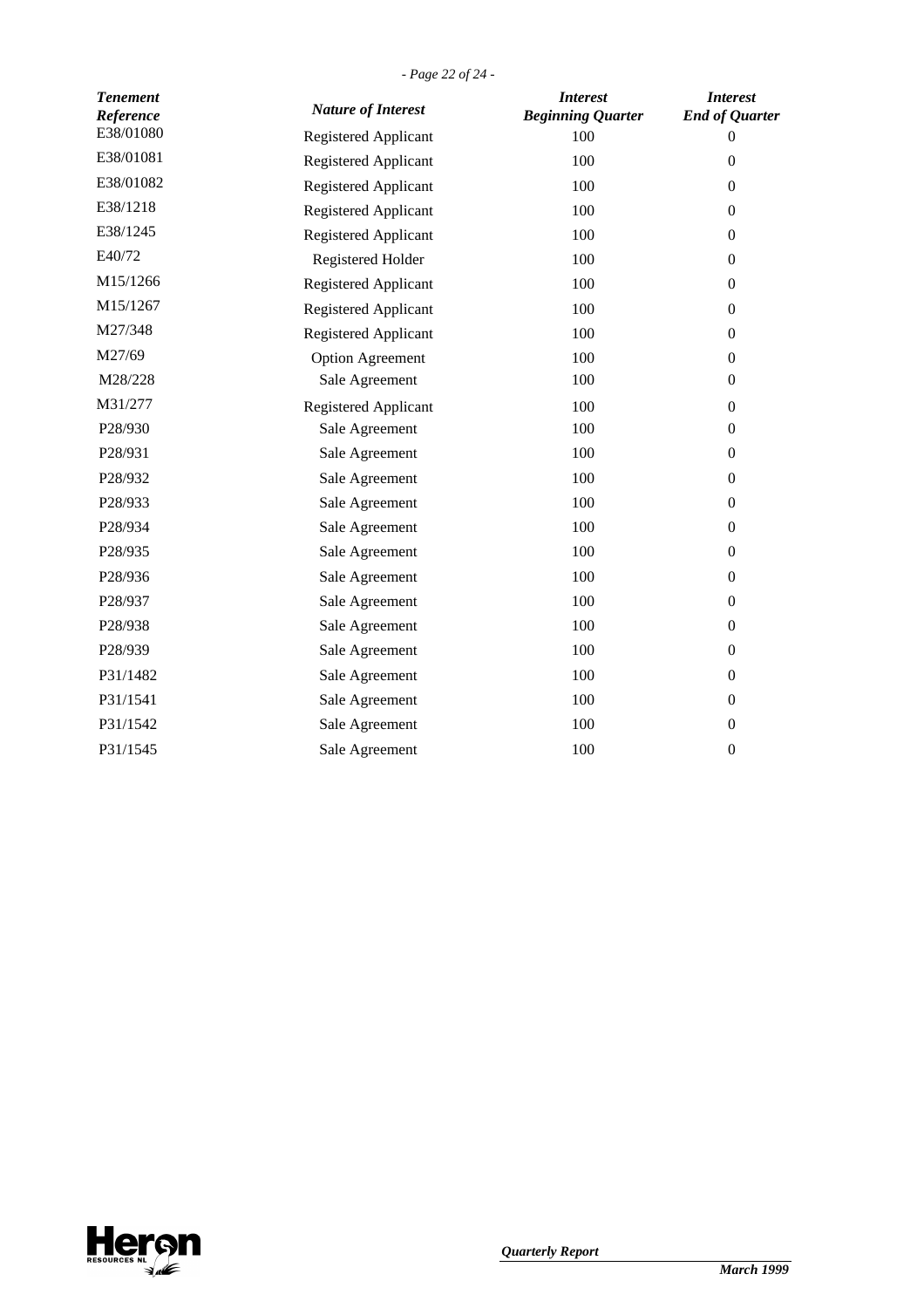| <b>Tenement</b><br>Reference | <b>Nature of Interest</b>   | <b>Interest</b><br><b>Beginning Quarter</b> | <b>Interest</b><br><b>End of Quarter</b> |
|------------------------------|-----------------------------|---------------------------------------------|------------------------------------------|
| E38/01080                    | <b>Registered Applicant</b> | 100                                         | $\overline{0}$                           |
| E38/01081                    | Registered Applicant        | 100                                         | $\boldsymbol{0}$                         |
| E38/01082                    | Registered Applicant        | 100                                         | $\boldsymbol{0}$                         |
| E38/1218                     | <b>Registered Applicant</b> | 100                                         | $\boldsymbol{0}$                         |
| E38/1245                     | Registered Applicant        | 100                                         | $\boldsymbol{0}$                         |
| E40/72                       | Registered Holder           | 100                                         | $\boldsymbol{0}$                         |
| M15/1266                     | Registered Applicant        | 100                                         | $\boldsymbol{0}$                         |
| M15/1267                     | Registered Applicant        | 100                                         | $\boldsymbol{0}$                         |
| M27/348                      | Registered Applicant        | 100                                         | $\boldsymbol{0}$                         |
| M27/69                       | <b>Option Agreement</b>     | 100                                         | $\boldsymbol{0}$                         |
| M28/228                      | Sale Agreement              | 100                                         | $\boldsymbol{0}$                         |
| M31/277                      | <b>Registered Applicant</b> | 100                                         | $\boldsymbol{0}$                         |
| P28/930                      | Sale Agreement              | 100                                         | $\boldsymbol{0}$                         |
| P28/931                      | Sale Agreement              | 100                                         | $\boldsymbol{0}$                         |
| P28/932                      | Sale Agreement              | 100                                         | $\boldsymbol{0}$                         |
| P28/933                      | Sale Agreement              | 100                                         | $\boldsymbol{0}$                         |
| P28/934                      | Sale Agreement              | 100                                         | $\boldsymbol{0}$                         |
| P28/935                      | Sale Agreement              | 100                                         | $\boldsymbol{0}$                         |
| P28/936                      | Sale Agreement              | 100                                         | $\boldsymbol{0}$                         |
| P28/937                      | Sale Agreement              | 100                                         | $\boldsymbol{0}$                         |
| P28/938                      | Sale Agreement              | 100                                         | $\boldsymbol{0}$                         |
| P28/939                      | Sale Agreement              | 100                                         | $\boldsymbol{0}$                         |
| P31/1482                     | Sale Agreement              | 100                                         | $\boldsymbol{0}$                         |
| P31/1541                     | Sale Agreement              | 100                                         | $\overline{0}$                           |
| P31/1542                     | Sale Agreement              | 100                                         | $\boldsymbol{0}$                         |
| P31/1545                     | Sale Agreement              | 100                                         | $\boldsymbol{0}$                         |

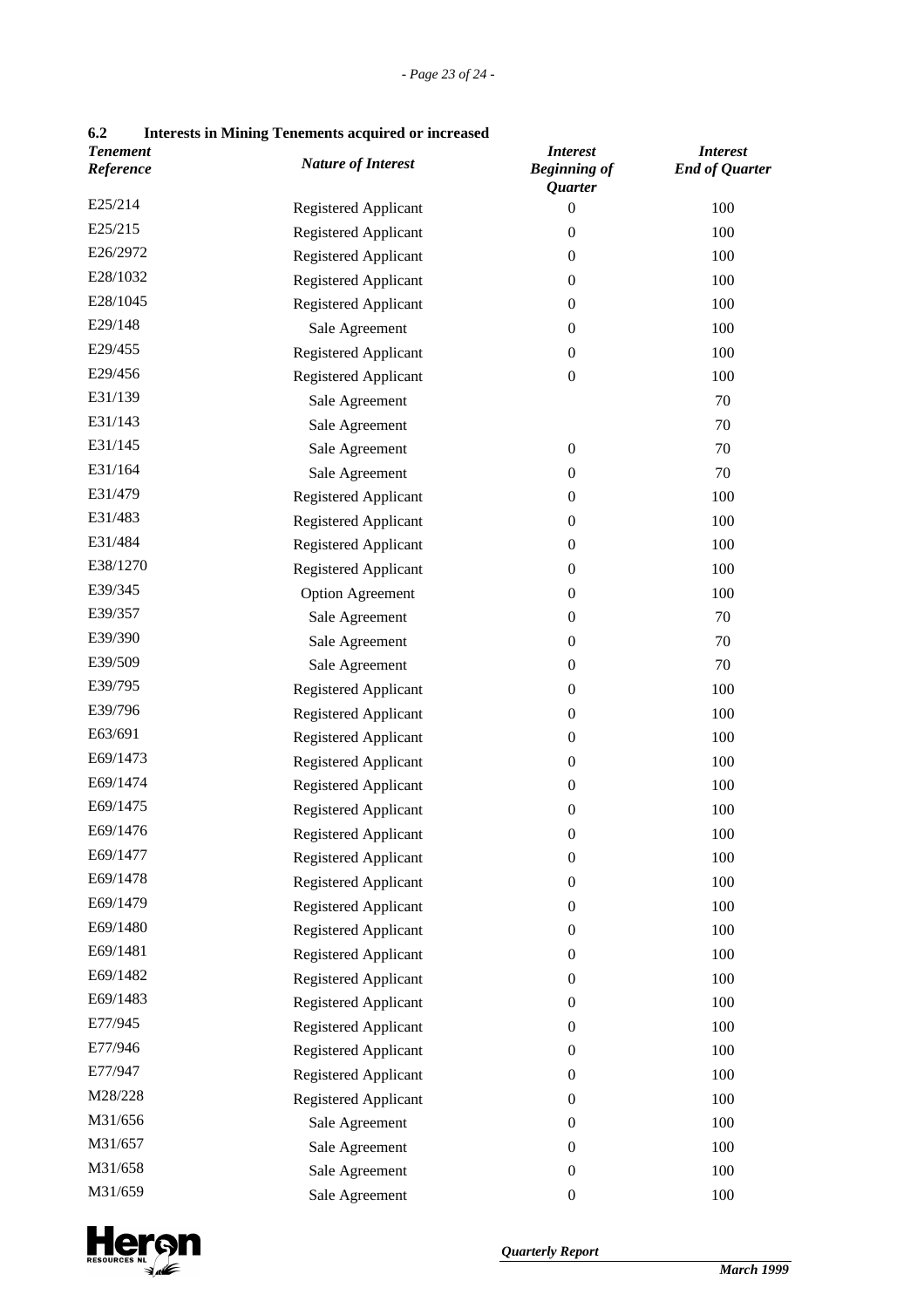| 6.2 |  | <b>Interests in Mining Tenements acquired or increased</b> |
|-----|--|------------------------------------------------------------|
|-----|--|------------------------------------------------------------|

| <b>Tenement</b><br>Reference | <b>Nature of Interest</b>   | <i>Interest</i><br><b>Beginning of</b><br>Quarter | <b>Interest</b><br><b>End of Quarter</b> |
|------------------------------|-----------------------------|---------------------------------------------------|------------------------------------------|
| E25/214                      | <b>Registered Applicant</b> | $\boldsymbol{0}$                                  | 100                                      |
| E25/215                      | Registered Applicant        | $\boldsymbol{0}$                                  | 100                                      |
| E26/2972                     | Registered Applicant        | $\boldsymbol{0}$                                  | 100                                      |
| E28/1032                     | Registered Applicant        | $\boldsymbol{0}$                                  | 100                                      |
| E28/1045                     | Registered Applicant        | $\boldsymbol{0}$                                  | 100                                      |
| E29/148                      | Sale Agreement              | $\boldsymbol{0}$                                  | 100                                      |
| E29/455                      | Registered Applicant        | $\boldsymbol{0}$                                  | 100                                      |
| E29/456                      | Registered Applicant        | $\boldsymbol{0}$                                  | 100                                      |
| E31/139                      | Sale Agreement              |                                                   | 70                                       |
| E31/143                      | Sale Agreement              |                                                   | 70                                       |
| E31/145                      | Sale Agreement              | $\boldsymbol{0}$                                  | 70                                       |
| E31/164                      | Sale Agreement              | $\boldsymbol{0}$                                  | 70                                       |
| E31/479                      | Registered Applicant        | $\boldsymbol{0}$                                  | 100                                      |
| E31/483                      | Registered Applicant        | $\boldsymbol{0}$                                  | 100                                      |
| E31/484                      | Registered Applicant        | $\boldsymbol{0}$                                  | 100                                      |
| E38/1270                     | Registered Applicant        | $\boldsymbol{0}$                                  | 100                                      |
| E39/345                      | <b>Option Agreement</b>     | $\boldsymbol{0}$                                  | 100                                      |
| E39/357                      | Sale Agreement              | $\boldsymbol{0}$                                  | 70                                       |
| E39/390                      | Sale Agreement              | $\boldsymbol{0}$                                  | 70                                       |
| E39/509                      | Sale Agreement              | $\boldsymbol{0}$                                  | 70                                       |
| E39/795                      | Registered Applicant        | $\boldsymbol{0}$                                  | 100                                      |
| E39/796                      | Registered Applicant        | $\boldsymbol{0}$                                  | 100                                      |
| E63/691                      | Registered Applicant        | $\boldsymbol{0}$                                  | 100                                      |
| E69/1473                     | Registered Applicant        | $\boldsymbol{0}$                                  | 100                                      |
| E69/1474                     | Registered Applicant        | $\boldsymbol{0}$                                  | 100                                      |
| E69/1475                     | Registered Applicant        | $\boldsymbol{0}$                                  | 100                                      |
| E69/1476                     | Registered Applicant        | $\boldsymbol{0}$                                  | 100                                      |
| E69/1477                     | Registered Applicant        | $\boldsymbol{0}$                                  | 100                                      |
| E69/1478                     | Registered Applicant        | $\boldsymbol{0}$                                  | 100                                      |
| E69/1479                     | Registered Applicant        | $\boldsymbol{0}$                                  | 100                                      |
| E69/1480                     | Registered Applicant        | $\boldsymbol{0}$                                  | 100                                      |
| E69/1481                     | Registered Applicant        | $\boldsymbol{0}$                                  | 100                                      |
| E69/1482                     | Registered Applicant        | $\mathbf{0}$                                      | 100                                      |
| E69/1483                     | Registered Applicant        | $\boldsymbol{0}$                                  | 100                                      |
| E77/945                      | Registered Applicant        | $\boldsymbol{0}$                                  | 100                                      |
| E77/946                      | Registered Applicant        | $\boldsymbol{0}$                                  | 100                                      |
| E77/947                      | Registered Applicant        | $\boldsymbol{0}$                                  | 100                                      |
| M28/228                      | Registered Applicant        | $\boldsymbol{0}$                                  | 100                                      |
| M31/656                      | Sale Agreement              | $\boldsymbol{0}$                                  | 100                                      |
| M31/657                      | Sale Agreement              | 0                                                 | 100                                      |
| M31/658                      | Sale Agreement              | $\boldsymbol{0}$                                  | 100                                      |
| M31/659                      | Sale Agreement              | $\boldsymbol{0}$                                  | 100                                      |

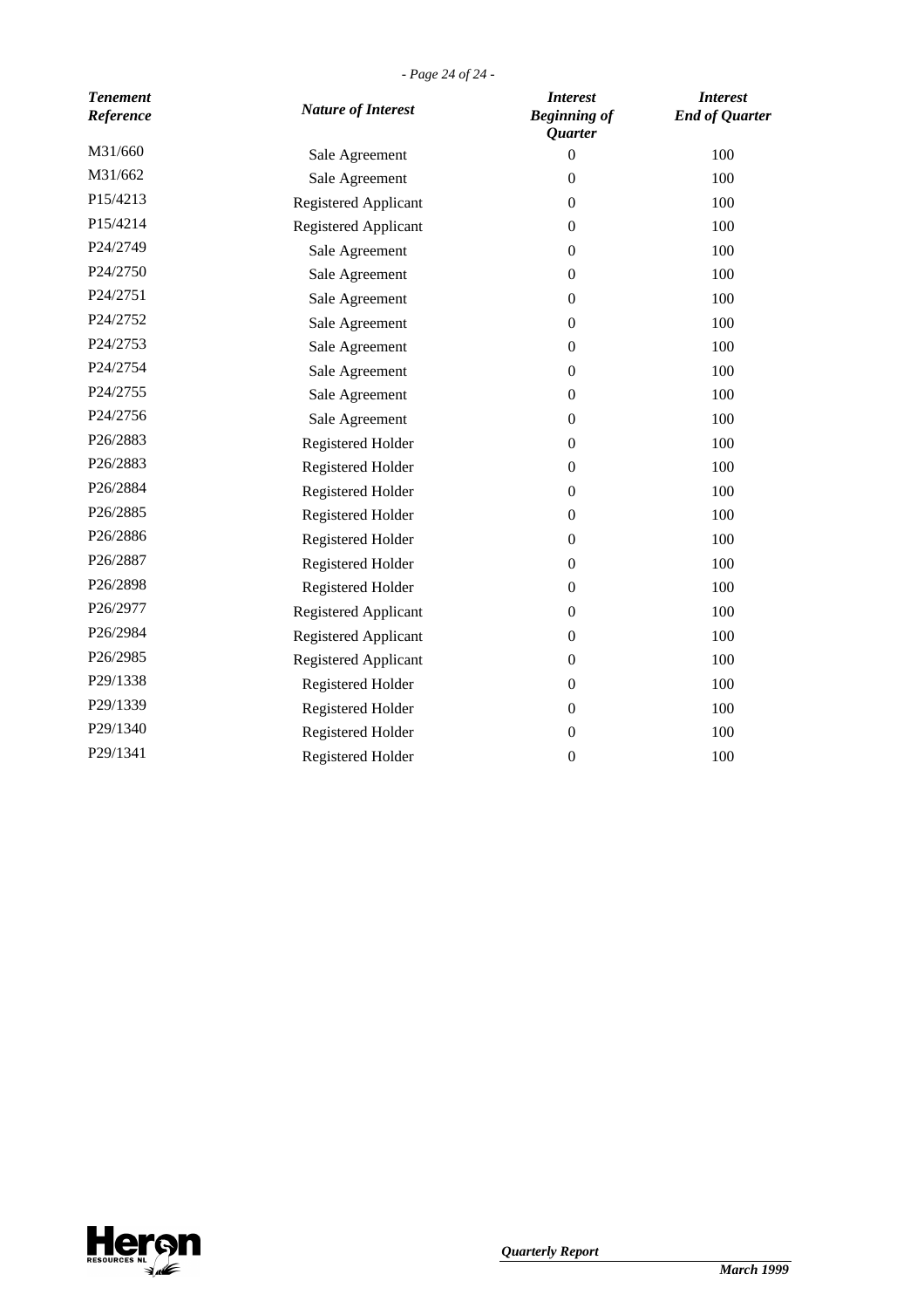*- Page 24 of 24 -*

| <b>Tenement</b><br>Reference | <b>Nature of Interest</b> | <b>Interest</b><br><b>Beginning of</b><br>Quarter | <b>Interest</b><br><b>End of Quarter</b> |
|------------------------------|---------------------------|---------------------------------------------------|------------------------------------------|
| M31/660                      | Sale Agreement            | $\theta$                                          | 100                                      |
| M31/662                      | Sale Agreement            | $\boldsymbol{0}$                                  | 100                                      |
| P15/4213                     | Registered Applicant      | $\boldsymbol{0}$                                  | 100                                      |
| P15/4214                     | Registered Applicant      | $\mathbf{0}$                                      | 100                                      |
| P24/2749                     | Sale Agreement            | $\mathbf{0}$                                      | 100                                      |
| P24/2750                     | Sale Agreement            | $\mathbf{0}$                                      | 100                                      |
| P24/2751                     | Sale Agreement            | $\mathbf{0}$                                      | 100                                      |
| P24/2752                     | Sale Agreement            | $\boldsymbol{0}$                                  | 100                                      |
| P24/2753                     | Sale Agreement            | $\boldsymbol{0}$                                  | 100                                      |
| P24/2754                     | Sale Agreement            | $\mathbf{0}$                                      | 100                                      |
| P24/2755                     | Sale Agreement            | $\mathbf{0}$                                      | 100                                      |
| P24/2756                     | Sale Agreement            | $\mathbf{0}$                                      | 100                                      |
| P26/2883                     | <b>Registered Holder</b>  | $\mathbf{0}$                                      | 100                                      |
| P26/2883                     | Registered Holder         | $\boldsymbol{0}$                                  | 100                                      |
| P26/2884                     | Registered Holder         | $\boldsymbol{0}$                                  | 100                                      |
| P26/2885                     | Registered Holder         | $\mathbf{0}$                                      | 100                                      |
| P26/2886                     | Registered Holder         | $\mathbf{0}$                                      | 100                                      |
| P26/2887                     | Registered Holder         | $\mathbf{0}$                                      | 100                                      |
| P26/2898                     | Registered Holder         | $\mathbf{0}$                                      | 100                                      |
| P26/2977                     | Registered Applicant      | $\boldsymbol{0}$                                  | 100                                      |
| P26/2984                     | Registered Applicant      | $\boldsymbol{0}$                                  | 100                                      |
| P26/2985                     | Registered Applicant      | $\mathbf{0}$                                      | 100                                      |
| P29/1338                     | Registered Holder         | $\mathbf{0}$                                      | 100                                      |
| P29/1339                     | Registered Holder         | $\mathbf{0}$                                      | 100                                      |
| P29/1340                     | Registered Holder         | $\boldsymbol{0}$                                  | 100                                      |
| P29/1341                     | <b>Registered Holder</b>  | $\boldsymbol{0}$                                  | 100                                      |